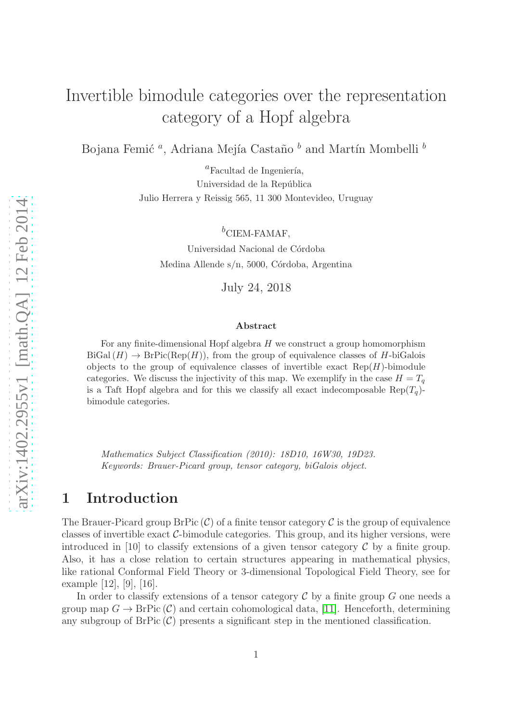# Invertible bimodule categories over the representation category of a Hopf algebra

Bojana Femić<sup>a</sup>, Adriana Mejía Castaño  $^b$  and Martín Mombelli  $^b$ 

 ${}^a$ Facultad de Ingeniería, Universidad de la República Julio Herrera y Reissig 565, 11 300 Montevideo, Uruguay

 $b$ CIEM-FAMAF.

Universidad Nacional de Córdoba Medina Allende s/n, 5000, Córdoba, Argentina

July 24, 2018

#### Abstract

For any finite-dimensional Hopf algebra  $H$  we construct a group homomorphism  $B<sub>i</sub>Gal(H) \rightarrow B<sub>i</sub>Pic(Rep(H))$ , from the group of equivalence classes of H-biGalois objects to the group of equivalence classes of invertible exact  $\text{Rep}(H)$ -bimodule categories. We discuss the injectivity of this map. We exemplify in the case  $H = T_q$ is a Taft Hopf algebra and for this we classify all exact indecomposable  $\text{Rep}(T_q)$ bimodule categories.

Mathematics Subject Classification (2010): 18D10, 16W30, 19D23. Keywords: Brauer-Picard group, tensor category, biGalois object.

# 1 Introduction

The Brauer-Picard group BrPic  $(C)$  of a finite tensor category C is the group of equivalence classes of invertible exact C-bimodule categories. This group, and its higher versions, were introduced in [10] to classify extensions of a given tensor category  $\mathcal C$  by a finite group. Also, it has a close relation to certain structures appearing in mathematical physics, like rational Conformal Field Theory or 3-dimensional Topological Field Theory, see for example [12], [9], [16].

In order to classify extensions of a tensor category  $\mathcal C$  by a finite group  $G$  one needs a group map  $G \to \text{BrPic}(\mathcal{C})$  and certain cohomological data, [\[11\]](#page-24-0). Henceforth, determining any subgroup of  $BrPic(\mathcal{C})$  presents a significant step in the mentioned classification.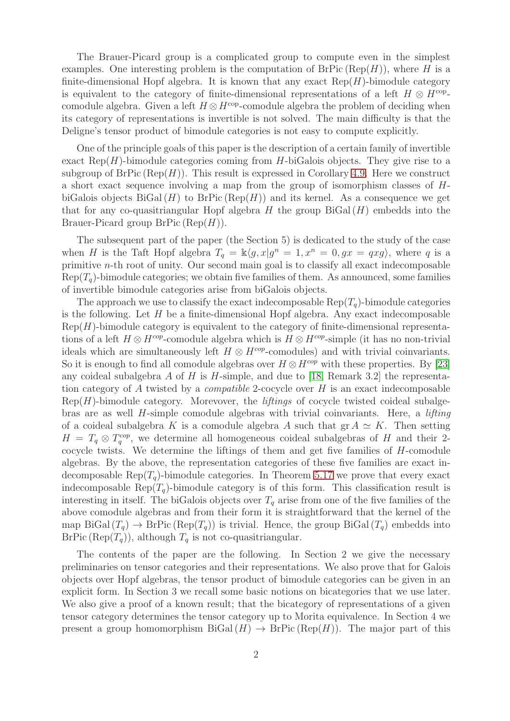The Brauer-Picard group is a complicated group to compute even in the simplest examples. One interesting problem is the computation of  $BrPic (Rep(H))$ , where H is a finite-dimensional Hopf algebra. It is known that any exact  $\text{Rep}(H)$ -bimodule category is equivalent to the category of finite-dimensional representations of a left  $H \otimes H^{\text{cop}}$ . comodule algebra. Given a left  $H \otimes H^{\text{cop}}$ -comodule algebra the problem of deciding when its category of representations is invertible is not solved. The main difficulty is that the Deligne's tensor product of bimodule categories is not easy to compute explicitly.

One of the principle goals of this paper is the description of a certain family of invertible exact  $\text{Rep}(H)$ -bimodule categories coming from H-biGalois objects. They give rise to a subgroup of  $BrPic (Rep(H))$ . This result is expressed in Corollary [4.9.](#page-13-0) Here we construct a short exact sequence involving a map from the group of isomorphism classes of HbiGalois objects  $BiGal(H)$  to  $BrPic(Rep(H))$  and its kernel. As a consequence we get that for any co-quasitriangular Hopf algebra  $H$  the group  $BiGal(H)$  embedds into the Brauer-Picard group  $BrPic (Rep(H)).$ 

The subsequent part of the paper (the Section 5) is dedicated to the study of the case when H is the Taft Hopf algebra  $T_q = \mathbb{k}\langle g, x|g^n = 1, x^n = 0, gx = qxg\rangle$ , where q is a primitive n-th root of unity. Our second main goal is to classify all exact indecomposable  $Rep(T<sub>a</sub>)$ -bimodule categories; we obtain five families of them. As announced, some families of invertible bimodule categories arise from biGalois objects.

The approach we use to classify the exact indecomposable  $\text{Rep}(T_q)$ -bimodule categories is the following. Let  $H$  be a finite-dimensional Hopf algebra. Any exact indecomposable  $Rep(H)$ -bimodule category is equivalent to the category of finite-dimensional representations of a left  $H \otimes H^{cop}$ -comodule algebra which is  $H \otimes H^{cop}$ -simple (it has no non-trivial ideals which are simultaneously left  $H \otimes H^{cop}$ -comodules) and with trivial coinvariants. So it is enough to find all comodule algebras over  $H \otimes H^{cop}$  with these properties. By [\[23\]](#page-25-0) any coideal subalgebra A of H is H-simple, and due to [\[18,](#page-25-1) Remark 3.2] the representation category of A twisted by a *compatible* 2-cocycle over  $H$  is an exact indecomposable  $Rep(H)$ -bimodule category. Morevover, the *liftings* of cocycle twisted coideal subalgebras are as well H-simple comodule algebras with trivial coinvariants. Here, a lifting of a coideal subalgebra K is a comodule algebra A such that  $\operatorname{gr} A \simeq K$ . Then setting  $H = T_q \otimes T_q^{cop}$ , we determine all homogeneous coideal subalgebras of H and their 2cocycle twists. We determine the liftings of them and get five families of H-comodule algebras. By the above, the representation categories of these five families are exact indecomposable Rep( $T_q$ )-bimodule categories. In Theorem [5.17](#page-20-0) we prove that every exact indecomposable Rep( $T_q$ )-bimodule category is of this form. This classification result is interesting in itself. The biGalois objects over  $T<sub>q</sub>$  arise from one of the five families of the above comodule algebras and from their form it is straightforward that the kernel of the map  $\text{BiGal}(T_q) \to \text{BrPic}(\text{Rep}(T_q))$  is trivial. Hence, the group  $\text{BiGal}(T_q)$  embedds into BrPic (Rep( $T_q$ )), although  $T_q$  is not co-quasitriangular.

The contents of the paper are the following. In Section 2 we give the necessary preliminaries on tensor categories and their representations. We also prove that for Galois objects over Hopf algebras, the tensor product of bimodule categories can be given in an explicit form. In Section 3 we recall some basic notions on bicategories that we use later. We also give a proof of a known result; that the bicategory of representations of a given tensor category determines the tensor category up to Morita equivalence. In Section 4 we present a group homomorphism  $BiGal(H) \to BrPic(Rep(H))$ . The major part of this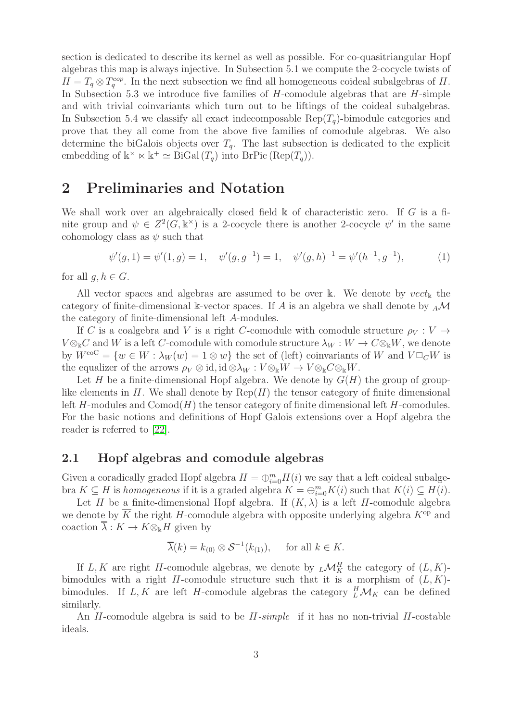section is dedicated to describe its kernel as well as possible. For co-quasitriangular Hopf algebras this map is always injective. In Subsection 5.1 we compute the 2-cocycle twists of  $H = T_q \otimes T_q^{cop}$ . In the next subsection we find all homogeneous coideal subalgebras of H. In Subsection 5.3 we introduce five families of  $H$ -comodule algebras that are  $H$ -simple and with trivial coinvariants which turn out to be liftings of the coideal subalgebras. In Subsection 5.4 we classify all exact indecomposable  $\text{Rep}(T_a)$ -bimodule categories and prove that they all come from the above five families of comodule algebras. We also determine the biGalois objects over  $T_q$ . The last subsection is dedicated to the explicit embedding of  $\mathbb{k}^{\times} \ltimes \mathbb{k}^+ \simeq \text{BiGal}(T_q)$  into BrPic (Rep( $T_q$ )).

# 2 Preliminaries and Notation

We shall work over an algebraically closed field  $\Bbbk$  of characteristic zero. If G is a finite group and  $\psi \in Z^2(G, \mathbb{k}^\times)$  is a 2-cocycle there is another 2-cocycle  $\psi'$  in the same cohomology class as  $\psi$  such that

$$
\psi'(g,1) = \psi'(1,g) = 1, \quad \psi'(g,g^{-1}) = 1, \quad \psi'(g,h)^{-1} = \psi'(h^{-1},g^{-1}), \tag{1}
$$

for all  $g, h \in G$ .

All vector spaces and algebras are assumed to be over k. We denote by  $vect_k$  the category of finite-dimensional k-vector spaces. If A is an algebra we shall denote by  $_A\mathcal{M}$ the category of finite-dimensional left A-modules.

If C is a coalgebra and V is a right C-comodule with comodule structure  $\rho_V : V \to$  $V \otimes_{\mathbb{k}} C$  and W is a left C-comodule with comodule structure  $\lambda_W : W \to C \otimes_{\mathbb{k}} W$ , we denote by  $W^{coC} = \{w \in W : \lambda_W(w) = 1 \otimes w\}$  the set of (left) coinvariants of W and  $V \square_C W$  is the equalizer of the arrows  $\rho_V \otimes id$ , id  $\otimes \lambda_W : V \otimes_{\Bbbk} W \to V \otimes_{\Bbbk} C \otimes_{\Bbbk} W$ .

Let H be a finite-dimensional Hopf algebra. We denote by  $G(H)$  the group of grouplike elements in  $H$ . We shall denote by  $\text{Rep}(H)$  the tensor category of finite dimensional left H-modules and  $Comod(H)$  the tensor category of finite dimensional left H-comodules. For the basic notions and definitions of Hopf Galois extensions over a Hopf algebra the reader is referred to [\[22\]](#page-25-2).

#### 2.1 Hopf algebras and comodule algebras

Given a coradically graded Hopf algebra  $H = \bigoplus_{i=0}^{m} H(i)$  we say that a left coideal subalgebra  $K \subseteq H$  is homogeneous if it is a graded algebra  $K = \bigoplus_{i=0}^{m} K(i)$  such that  $K(i) \subseteq H(i)$ .

Let H be a finite-dimensional Hopf algebra. If  $(K, \lambda)$  is a left H-comodule algebra we denote by  $\overline{K}$  the right H-comodule algebra with opposite underlying algebra  $K^{\rm op}$  and coaction  $\overline{\lambda}: K \to K \otimes_{\mathbb{k}} H$  given by

$$
\overline{\lambda}(k) = k_{(0)} \otimes \mathcal{S}^{-1}(k_{(1)}), \quad \text{ for all } k \in K.
$$

If L, K are right H-comodule algebras, we denote by  $_L \mathcal{M}_K^H$  the category of  $(L, K)$ bimodules with a right H-comodule structure such that it is a morphism of  $(L, K)$ bimodules. If  $L, K$  are left H-comodule algebras the category  ${}^H_L\mathcal{M}_K$  can be defined similarly.

An H-comodule algebra is said to be  $H\text{-}simple$  if it has no non-trivial  $H\text{-}costable$ ideals.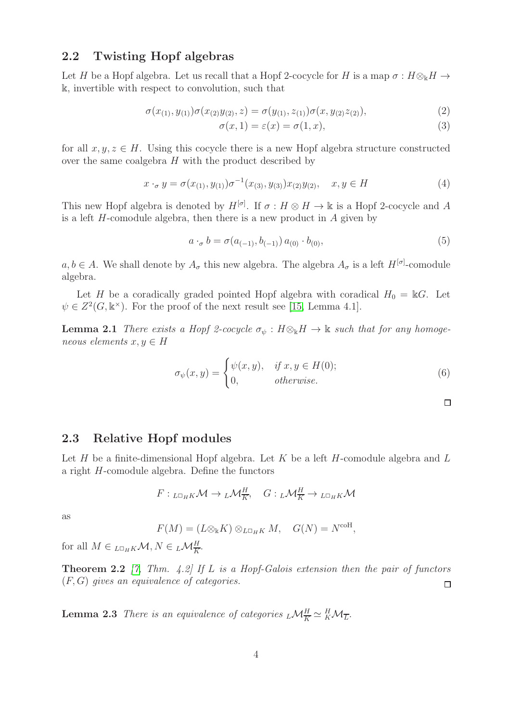#### 2.2 Twisting Hopf algebras

Let H be a Hopf algebra. Let us recall that a Hopf 2-cocycle for H is a map  $\sigma : H \otimes_{\mathbb{k}} H \to$ k, invertible with respect to convolution, such that

$$
\sigma(x_{(1)}, y_{(1)})\sigma(x_{(2)}y_{(2)}, z) = \sigma(y_{(1)}, z_{(1)})\sigma(x, y_{(2)}z_{(2)}),
$$
\n(2)

$$
\sigma(x,1) = \varepsilon(x) = \sigma(1,x),\tag{3}
$$

for all  $x, y, z \in H$ . Using this cocycle there is a new Hopf algebra structure constructed over the same coalgebra  $H$  with the product described by

$$
x \cdot_{\sigma} y = \sigma(x_{(1)}, y_{(1)}) \sigma^{-1}(x_{(3)}, y_{(3)}) x_{(2)} y_{(2)}, \quad x, y \in H \tag{4}
$$

This new Hopf algebra is denoted by  $H^{[\sigma]}$ . If  $\sigma : H \otimes H \to \mathbb{k}$  is a Hopf 2-cocycle and A is a left  $H$ -comodule algebra, then there is a new product in  $A$  given by

$$
a \cdot_{\sigma} b = \sigma(a_{(-1)}, b_{(-1)}) a_{(0)} \cdot b_{(0)}, \tag{5}
$$

 $a, b \in A$ . We shall denote by  $A_{\sigma}$  this new algebra. The algebra  $A_{\sigma}$  is a left  $H^{[\sigma]}$ -comodule algebra.

Let H be a coradically graded pointed Hopf algebra with coradical  $H_0 = \mathbb{k}G$ . Let  $\psi \in Z^2(G, \mathbb{k}^\times)$ . For the proof of the next result see [\[15,](#page-25-3) Lemma 4.1].

**Lemma 2.1** There exists a Hopf 2-cocycle  $\sigma_{\psi}: H \otimes_{\mathbb{k}} H \to \mathbb{k}$  such that for any homogeneous elements  $x, y \in H$ 

$$
\sigma_{\psi}(x,y) = \begin{cases} \psi(x,y), & \text{if } x, y \in H(0); \\ 0, & \text{otherwise.} \end{cases}
$$
 (6)

<span id="page-3-2"></span>

#### 2.3 Relative Hopf modules

Let  $H$  be a finite-dimensional Hopf algebra. Let  $K$  be a left  $H$ -comodule algebra and  $L$ a right H-comodule algebra. Define the functors

$$
F: {}_{L\Box_H K} \mathcal{M} \to {}_L \mathcal{M}^H_{\overline{K}}, \quad G: {}_L \mathcal{M}^H_{\overline{K}} \to {}_{L\Box_H K} \mathcal{M}
$$

as

<span id="page-3-1"></span>
$$
F(M) = (L \otimes_{\mathbb{k}} K) \otimes_{L \square_H K} M, \quad G(N) = N^{\text{coH}},
$$

for all  $M \in {}_{L\Box_H K} \mathcal{M}, N \in {}_L \mathcal{M}_{\overline{K}}^H$ .

**Theorem 2.2** [\[7,](#page-24-1) Thm. 4.2] If L is a Hopf-Galois extension then the pair of functors  $(F, G)$  gives an equivalence of categories.  $\Box$ 

<span id="page-3-0"></span>**Lemma 2.3** There is an equivalence of categories  $_L \mathcal{M}_{\overline{K}}^H \simeq {}^H_K \mathcal{M}_{\overline{L}}$ .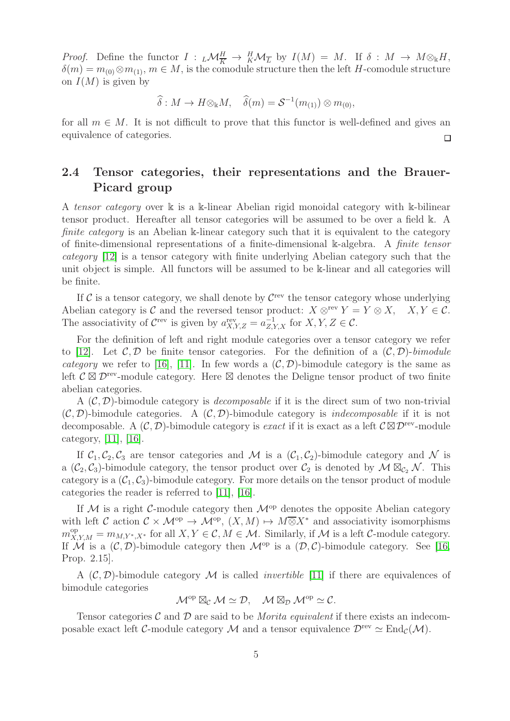*Proof.* Define the functor  $I: L\mathcal{M}_{\overline{K}}^H \to {}^H_K\mathcal{M}_{\overline{L}}$  by  $I(M) = M$ . If  $\delta: M \to M \otimes_{\mathbb{k}} H$ ,  $\delta(m) = m_{(0)} \otimes m_{(1)}, m \in M$ , is the comodule structure then the left H-comodule structure on  $I(M)$  is given by

$$
\widehat{\delta}: M \to H \otimes_{\mathbb{k}} M, \quad \widehat{\delta}(m) = \mathcal{S}^{-1}(m_{(1)}) \otimes m_{(0)},
$$

for all  $m \in M$ . It is not difficult to prove that this functor is well-defined and gives an equivalence of categories.  $\Box$ 

# 2.4 Tensor categories, their representations and the Brauer-Picard group

A tensor category over k is a k-linear Abelian rigid monoidal category with k-bilinear tensor product. Hereafter all tensor categories will be assumed to be over a field k. A finite category is an Abelian k-linear category such that it is equivalent to the category of finite-dimensional representations of a finite-dimensional k-algebra. A finite tensor category [\[12\]](#page-24-2) is a tensor category with finite underlying Abelian category such that the unit object is simple. All functors will be assumed to be k-linear and all categories will be finite.

If  $\mathcal C$  is a tensor category, we shall denote by  $\mathcal C^{\text{rev}}$  the tensor category whose underlying Abelian category is  $\mathcal C$  and the reversed tensor product:  $X \otimes^{\text{rev}} Y = Y \otimes X$ ,  $X, Y \in \mathcal C$ . The associativity of  $\mathcal{C}^{\text{rev}}$  is given by  $a_{X,Y,Z}^{\text{rev}} = a_{Z,Y,X}^{-1}$  for  $X, Y, Z \in \mathcal{C}$ .

For the definition of left and right module categories over a tensor category we refer to [\[12\]](#page-24-2). Let  $\mathcal{C}, \mathcal{D}$  be finite tensor categories. For the definition of a  $(\mathcal{C}, \mathcal{D})$ -bimodule category we refer to [\[16\]](#page-25-4), [\[11\]](#page-24-0). In few words a  $(C, \mathcal{D})$ -bimodule category is the same as left  $\mathcal{C} \boxtimes \mathcal{D}^{\text{rev}}$ -module category. Here  $\boxtimes$  denotes the Deligne tensor product of two finite abelian categories.

A  $(C, D)$ -bimodule category is *decomposable* if it is the direct sum of two non-trivial  $(C, \mathcal{D})$ -bimodule categories. A  $(C, \mathcal{D})$ -bimodule category is *indecomposable* if it is not decomposable. A  $(C, \mathcal{D})$ -bimodule category is *exact* if it is exact as a left  $\mathcal{C} \boxtimes \mathcal{D}^{\text{rev}}$ -module category, [\[11\]](#page-24-0), [\[16\]](#page-25-4).

If  $C_1, C_2, C_3$  are tensor categories and M is a  $(C_1, C_2)$ -bimodule category and N is a  $(\mathcal{C}_2, \mathcal{C}_3)$ -bimodule category, the tensor product over  $\mathcal{C}_2$  is denoted by  $\mathcal{M} \boxtimes_{\mathcal{C}_2} \mathcal{N}$ . This category is a  $(\mathcal{C}_1, \mathcal{C}_3)$ -bimodule category. For more details on the tensor product of module categories the reader is referred to [\[11\]](#page-24-0), [\[16\]](#page-25-4).

If  $M$  is a right C-module category then  $M^{\text{op}}$  denotes the opposite Abelian category with left C action  $C \times \mathcal{M}^{\text{op}} \to \mathcal{M}^{\text{op}}, (X, M) \mapsto M \overline{\otimes} X^*$  and associativity isomorphisms  $m_{X,Y,M}^{\text{op}} = m_{M,Y^*,X^*}$  for all  $X, Y \in \mathcal{C}, M \in \mathcal{M}$ . Similarly, if M is a left C-module category. If  $\mathcal M$  is a  $(\mathcal C, \mathcal D)$ -bimodule category then  $\mathcal M^{\rm op}$  is a  $(\mathcal D, \mathcal C)$ -bimodule category. See [\[16,](#page-25-4) Prop. 2.15].

A  $(C, D)$ -bimodule category M is called *invertible* [\[11\]](#page-24-0) if there are equivalences of bimodule categories

$$
\mathcal{M}^{\mathrm{op}} \boxtimes_{\mathcal{C}} \mathcal{M} \simeq \mathcal{D}, \quad \mathcal{M} \boxtimes_{\mathcal{D}} \mathcal{M}^{\mathrm{op}} \simeq \mathcal{C}.
$$

Tensor categories C and D are said to be *Morita equivalent* if there exists an indecomposable exact left C-module category M and a tensor equivalence  $\mathcal{D}^{\text{rev}} \simeq \text{End}_{\mathcal{C}}(\mathcal{M})$ .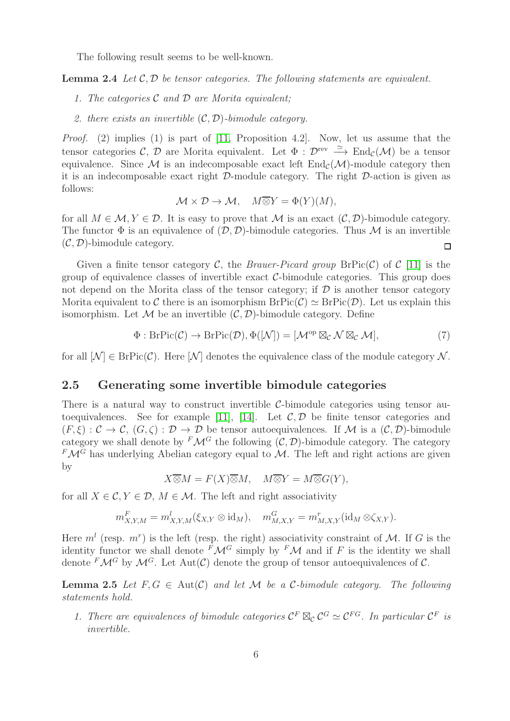The following result seems to be well-known.

**Lemma 2.4** Let  $C, D$  be tensor categories. The following statements are equivalent.

- 1. The categories  $C$  and  $D$  are Morita equivalent;
- 2. there exists an invertible  $(C, D)$ -bimodule category.

Proof. (2) implies (1) is part of [\[11,](#page-24-0) Proposition 4.2]. Now, let us assume that the tensor categories C, D are Morita equivalent. Let  $\Phi : \mathcal{D}^{\text{rev}} \stackrel{\simeq}{\longrightarrow} \text{End}_{\mathcal{C}}(\mathcal{M})$  be a tensor equivalence. Since  $\mathcal M$  is an indecomposable exact left  $\text{End}_{\mathcal C}(\mathcal M)$ -module category then it is an indecomposable exact right D-module category. The right D-action is given as follows:

<span id="page-5-0"></span>
$$
\mathcal{M} \times \mathcal{D} \to \mathcal{M}, \quad M \overline{\otimes} Y = \Phi(Y)(M),
$$

for all  $M \in \mathcal{M}, Y \in \mathcal{D}$ . It is easy to prove that M is an exact  $(\mathcal{C}, \mathcal{D})$ -bimodule category. The functor  $\Phi$  is an equivalence of  $(D, D)$ -bimodule categories. Thus M is an invertible  $(C, \mathcal{D})$ -bimodule category.  $\Box$ 

Given a finite tensor category C, the *Brauer-Picard group*  $BrPic(C)$  of C [\[11\]](#page-24-0) is the group of equivalence classes of invertible exact  $\mathcal{C}\text{-bimodule categories.}$  This group does not depend on the Morita class of the tensor category; if  $\mathcal D$  is another tensor category Morita equivalent to C there is an isomorphism  $BrPic(\mathcal{C}) \simeq BrPic(\mathcal{D})$ . Let us explain this isomorphism. Let M be an invertible  $(C, \mathcal{D})$ -bimodule category. Define

<span id="page-5-2"></span>
$$
\Phi: \mathrm{BrPic}(\mathcal{C}) \to \mathrm{BrPic}(\mathcal{D}), \Phi([\mathcal{N}]) = [\mathcal{M}^{\mathrm{op}} \boxtimes_{\mathcal{C}} \mathcal{N} \boxtimes_{\mathcal{C}} \mathcal{M}], \tag{7}
$$

for all  $[N] \in \text{BrPic}(\mathcal{C})$ . Here  $[N]$  denotes the equivalence class of the module category N.

#### 2.5 Generating some invertible bimodule categories

There is a natural way to construct invertible  $\mathcal{C}\text{-bimodule categories}$  using tensor au-toequivalences. See for example [\[11\]](#page-24-0), [\[14\]](#page-24-3). Let  $\mathcal{C}, \mathcal{D}$  be finite tensor categories and  $(F,\xi): \mathcal{C} \to \mathcal{C}, (G,\zeta): \mathcal{D} \to \mathcal{D}$  be tensor autoequivalences. If M is a  $(\mathcal{C},\mathcal{D})$ -bimodule category we shall denote by  $^F\mathcal{M}^G$  the following  $(\mathcal{C}, \mathcal{D})$ -bimodule category. The category  $F\mathcal{M}^G$  has underlying Abelian category equal to M. The left and right actions are given by

$$
X \overline{\otimes} M = F(X) \overline{\otimes} M, \quad M \overline{\otimes} Y = M \overline{\otimes} G(Y),
$$

for all  $X \in \mathcal{C}, Y \in \mathcal{D}, M \in \mathcal{M}$ . The left and right associativity

$$
m_{X,Y,M}^F = m_{X,Y,M}^l(\xi_{X,Y} \otimes \mathrm{id}_M), \quad m_{M,X,Y}^G = m_{M,X,Y}^r(\mathrm{id}_M \otimes \zeta_{X,Y}).
$$

Here  $m^{l}$  (resp.  $m^{r}$ ) is the left (resp. the right) associativity constraint of M. If G is the identity functor we shall denote  $^F\mathcal{M}^G$  simply by  $^F\mathcal{M}$  and if F is the identity we shall denote  $^F\mathcal{M}^G$  by  $\mathcal{M}^G$ . Let  $Aut(\mathcal{C})$  denote the group of tensor autoequivalences of  $\mathcal{C}$ .

<span id="page-5-1"></span>**Lemma 2.5** Let  $F, G \in Aut(C)$  and let M be a C-bimodule category. The following statements hold.

1. There are equivalences of bimodule categories  $C^F \boxtimes_C C^G \simeq C^{FG}$ . In particular  $C^F$  is invertible.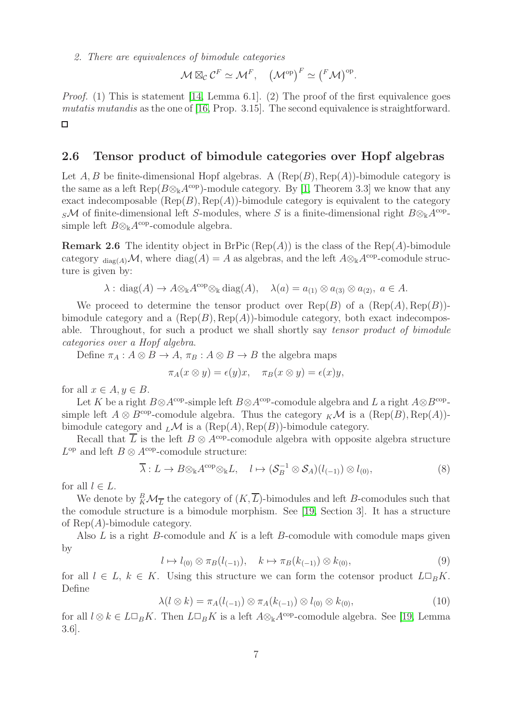2. There are equivalences of bimodule categories

 $\mathcal{M} \boxtimes_{\mathcal{C}} \mathcal{C}^F \simeq \mathcal{M}^F, \quad \left(\mathcal{M}^\mathrm{op}\right)^F \simeq \left(^F \mathcal{M}\right)^\mathrm{op}.$ 

Proof. (1) This is statement [\[14,](#page-24-3) Lemma 6.1]. (2) The proof of the first equivalence goes mutatis mutandis as the one of [\[16,](#page-25-4) Prop. 3.15]. The second equivalence is straightforward.  $\Box$ 

#### 2.6 Tensor product of bimodule categories over Hopf algebras

Let A, B be finite-dimensional Hopf algebras. A  $(\text{Rep}(B), \text{Rep}(A))$ -bimodule category is the same as a left  $\text{Rep}(B\otimes_{\Bbbk} A^{\text{cop}})$ -module category. By [\[1,](#page-24-4) Theorem 3.3] we know that any exact indecomposable  $(\text{Rep}(B), \text{Rep}(A))$ -bimodule category is equivalent to the category  $S\mathcal{M}$  of finite-dimensional left S-modules, where S is a finite-dimensional right  $B\otimes_{\Bbbk} A^{\text{cop}}$ simple left  $B\otimes_{\Bbbk}A^{\rm cop}$ -comodule algebra.

**Remark 2.6** The identity object in  $BrPic(Rep(A))$  is the class of the  $Rep(A)$ -bimodule category  $_{diag(A)}\mathcal{M}$ , where  $diag(A) = A$  as algebras, and the left  $A \otimes_{\mathbb{k}} A^{cop}$ -comodule structure is given by:

$$
\lambda: \text{diag}(A) \to A \otimes_{\mathbb{k}} A^{\text{cop}} \otimes_{\mathbb{k}} \text{diag}(A), \quad \lambda(a) = a_{(1)} \otimes a_{(3)} \otimes a_{(2)}, \ a \in A.
$$

We proceed to determine the tensor product over  $\text{Rep}(B)$  of a  $(\text{Rep}(A), \text{Rep}(B))$ bimodule category and a  $(\text{Rep}(B), \text{Rep}(A))$ -bimodule category, both exact indecomposable. Throughout, for such a product we shall shortly say tensor product of bimodule categories over a Hopf algebra.

Define  $\pi_A : A \otimes B \to A$ ,  $\pi_B : A \otimes B \to B$  the algebra maps

$$
\pi_A(x \otimes y) = \epsilon(y)x, \quad \pi_B(x \otimes y) = \epsilon(x)y,
$$

for all  $x \in A, y \in B$ .

Let K be a right  $B \otimes A^{cop}$ -simple left  $B \otimes A^{cop}$ -comodule algebra and L a right  $A \otimes B^{cop}$ simple left  $A \otimes B^{\text{cop}}$ -comodule algebra. Thus the category  $_K\mathcal{M}$  is a  $(\text{Rep}(B), \text{Rep}(A))$ bimodule category and  $L\mathcal{M}$  is a (Rep(A), Rep(B))-bimodule category.

Recall that  $\overline{L}$  is the left  $B \otimes A^{cop}$ -comodule algebra with opposite algebra structure  $L^{\text{op}}$  and left  $B \otimes A^{\text{cop}}$ -comodule structure:

$$
\overline{\lambda}: L \to B \otimes_{\mathbb{k}} A^{\text{cop}} \otimes_{\mathbb{k}} L, \quad l \mapsto (\mathcal{S}_B^{-1} \otimes \mathcal{S}_A)(l_{(-1)}) \otimes l_{(0)}, \tag{8}
$$

for all  $l \in L$ .

We denote by  ${}^B_K\mathcal{M}_{\overline{L}}$  the category of  $(K,\overline{L})$ -bimodules and left *B*-comodules such that the comodule structure is a bimodule morphism. See [\[19,](#page-25-5) Section 3]. It has a structure of  $\text{Rep}(A)$ -bimodule category.

Also  $L$  is a right  $B$ -comodule and  $K$  is a left  $B$ -comodule with comodule maps given by

$$
l \mapsto l_{(0)} \otimes \pi_B(l_{(-1)}), \quad k \mapsto \pi_B(k_{(-1)}) \otimes k_{(0)}, \tag{9}
$$

for all  $l \in L$ ,  $k \in K$ . Using this structure we can form the cotensor product  $L\square_R K$ . Define

<span id="page-6-0"></span>
$$
\lambda(l \otimes k) = \pi_A(l_{(-1)}) \otimes \pi_A(k_{(-1)}) \otimes l_{(0)} \otimes k_{(0)},
$$
\n(10)

for all  $l \otimes k \in L\square_B K$ . Then  $L\square_B K$  is a left  $A\otimes_k A^{cop}$ -comodule algebra. See [\[19,](#page-25-5) Lemma 3.6].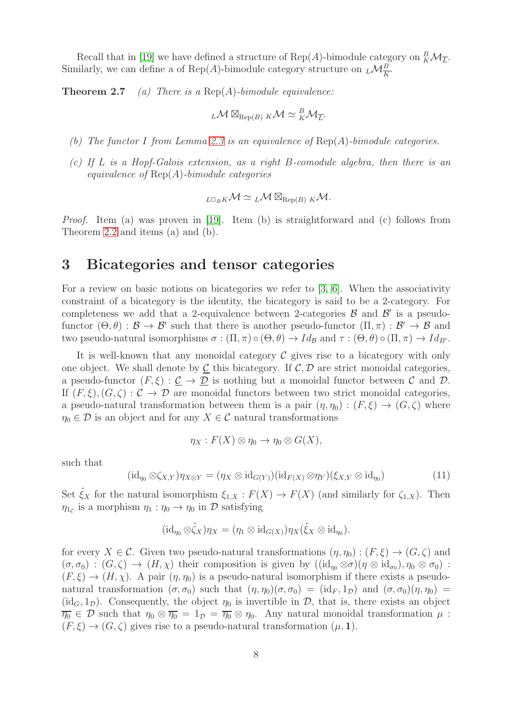<span id="page-7-2"></span>Recall that in [\[19\]](#page-25-5) we have defined a structure of Rep(A)-bimodule category on  ${}^B_K\mathcal{M}_{\overline{L}}$ . Similarly, we can define a of Rep(A)-bimodule category structure on  $_L\mathcal{M}_{\overline{K}}^B$ .

**Theorem 2.7** (a) There is a  $Rep(A)$ -bimodule equivalence:

$$
L^{\text{M}} \boxtimes_{\text{Rep}(B)} K^{\text{M}} \simeq {}_{K}^{B} \mathcal{M}_{\overline{L}}.
$$

- (b) The functor I from Lemma [2.3](#page-3-0) is an equivalence of  $\text{Rep}(A)$ -bimodule categories.
- (c) If L is a Hopf-Galois extension, as a right B-comodule algebra, then there is an equivalence of  $\text{Rep}(A)$ -bimodule categories

$$
L\Box_B K\mathcal{M} \simeq L\mathcal{M} \boxtimes_{\mathrm{Rep}(B)} K\mathcal{M}.
$$

Proof. Item (a) was proven in [\[19\]](#page-25-5). Item (b) is straightforward and (c) follows from Theorem [2.2](#page-3-1) and items (a) and (b).

### 3 Bicategories and tensor categories

For a review on basic notions on bicategories we refer to [\[3,](#page-24-5) [6\]](#page-24-6). When the associativity constraint of a bicategory is the identity, the bicategory is said to be a 2-category. For completeness we add that a 2-equivalence between 2-categories  $\beta$  and  $\beta'$  is a pseudofunctor  $(\Theta, \theta) : \mathcal{B} \to \mathcal{B}'$  such that there is another pseudo-functor  $(\Pi, \pi) : \mathcal{B}' \to \mathcal{B}$  and two pseudo-natural isomorphisms  $\sigma : (\Pi, \pi) \circ (\Theta, \theta) \to Id_{\mathcal{B}}$  and  $\tau : (\Theta, \theta) \circ (\Pi, \pi) \to Id_{\mathcal{B}}$ .

It is well-known that any monoidal category  $\mathcal C$  gives rise to a bicategory with only one object. We shall denote by  $\underline{\mathcal{C}}$  this bicategory. If  $\mathcal{C}, \mathcal{D}$  are strict monoidal categories, a pseudo-functor  $(F, \xi) : \underline{\mathcal{C}} \to \underline{\mathcal{D}}$  is nothing but a monoidal functor between  $\mathcal{C}$  and  $\mathcal{D}$ . If  $(F, \xi), (G, \zeta) : \mathcal{C} \to \mathcal{D}$  are monoidal functors between two strict monoidal categories, a pseudo-natural transformation between them is a pair  $(\eta, \eta_0) : (F, \xi) \to (G, \zeta)$  where  $\eta_0 \in \mathcal{D}$  is an object and for any  $X \in \mathcal{C}$  natural transformations

$$
\eta_X: F(X) \otimes \eta_0 \to \eta_0 \otimes G(X),
$$

such that

<span id="page-7-0"></span>
$$
(\mathrm{id}_{\eta_0} \otimes \zeta_{X,Y})\eta_{X\otimes Y} = (\eta_X \otimes \mathrm{id}_{G(Y)})(\mathrm{id}_{F(X)} \otimes \eta_Y)(\zeta_{X,Y} \otimes \mathrm{id}_{\eta_0})
$$
(11)

Set  $\xi_X$  for the natural isomorphism  $\xi_{1,X} : F(X) \to F(X)$  (and similarly for  $\zeta_{1,X}$ ). Then  $\eta_{1c}$  is a morphism  $\eta_1 : \eta_0 \to \eta_0$  in  $\mathcal{D}$  satisfying

$$
(\mathrm{id}_{\eta_0}\otimes\tilde{\zeta}_X)\eta_X=(\eta_1\otimes\mathrm{id}_{G(X)})\eta_X(\tilde{\xi}_X\otimes\mathrm{id}_{\eta_0}).
$$

<span id="page-7-1"></span>for every  $X \in \mathcal{C}$ . Given two pseudo-natural transformations  $(\eta, \eta_0) : (F, \xi) \to (G, \zeta)$  and  $(\sigma, \sigma_0) : (G, \zeta) \to (H, \chi)$  their composition is given by  $((id_{\eta_0} \otimes \sigma)(\eta \otimes id_{\sigma_0}), \eta_0 \otimes \sigma_0)$ :  $(F, \xi) \to (H, \chi)$ . A pair  $(\eta, \eta_0)$  is a pseudo-natural isomorphism if there exists a pseudonatural transformation  $(\sigma, \sigma_0)$  such that  $(\eta, \eta_0)(\sigma, \sigma_0) = (\mathrm{id}_F, 1_D)$  and  $(\sigma, \sigma_0)(\eta, \eta_0) =$  $(id_G, 1_D)$ . Consequently, the object  $\eta_0$  is invertible in D, that is, there exists an object  $\overline{\eta_0} \in \mathcal{D}$  such that  $\eta_0 \otimes \overline{\eta_0} = 1_{\mathcal{D}} = \overline{\eta_0} \otimes \eta_0$ . Any natural monoidal transformation  $\mu$ :  $(F, \xi) \rightarrow (G, \zeta)$  gives rise to a pseudo-natural transformation  $(\mu, 1)$ .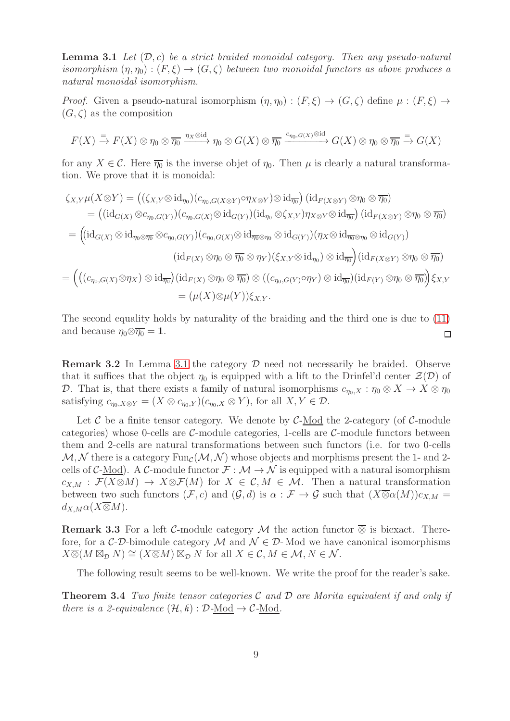**Lemma 3.1** Let  $(D, c)$  be a strict braided monoidal category. Then any pseudo-natural isomorphism  $(\eta, \eta_0): (F, \xi) \to (G, \zeta)$  between two monoidal functors as above produces a natural monoidal isomorphism.

*Proof.* Given a pseudo-natural isomorphism  $(\eta, \eta_0) : (F, \xi) \to (G, \zeta)$  define  $\mu : (F, \xi) \to$  $(G,\zeta)$  as the composition

$$
F(X) \xrightarrow{\equiv} F(X) \otimes \eta_0 \otimes \overline{\eta_0} \xrightarrow{\eta_X \otimes \mathrm{id}} \eta_0 \otimes G(X) \otimes \overline{\eta_0} \xrightarrow{c_{\eta_0, G(X)} \otimes \mathrm{id}} G(X) \otimes \eta_0 \otimes \overline{\eta_0} \xrightarrow{\equiv} G(X)
$$

for any  $X \in \mathcal{C}$ . Here  $\overline{\eta_0}$  is the inverse objet of  $\eta_0$ . Then  $\mu$  is clearly a natural transformation. We prove that it is monoidal:

$$
\zeta_{X,Y}\mu(X\otimes Y) = ((\zeta_{X,Y}\otimes id_{\eta_0})(c_{\eta_0,G(X\otimes Y)}\circ \eta_{X\otimes Y})\otimes id_{\overline{\eta_0}}) (id_{F(X\otimes Y)}\otimes \eta_0 \otimes \overline{\eta_0})
$$
  
\n
$$
= ((id_{G(X)}\otimes c_{\eta_0,G(Y)})(c_{\eta_0,G(X)}\otimes id_{G(Y)})(id_{\eta_0}\otimes \zeta_{X,Y})\eta_{X\otimes Y}\otimes id_{\overline{\eta_0}}) (id_{F(X\otimes Y)}\otimes \eta_0 \otimes \overline{\eta_0})
$$
  
\n
$$
= ((id_{G(X)}\otimes id_{\eta_0\otimes \overline{\eta_0}}\otimes c_{\eta_0,G(Y)})(c_{\eta_0,G(X)}\otimes id_{\overline{\eta_0}\otimes \eta_0} \otimes id_{G(Y)})(\eta_X\otimes id_{\overline{\eta_0}\otimes \eta_0} \otimes id_{G(Y)})
$$
  
\n
$$
(id_{F(X)}\otimes \eta_0 \otimes \overline{\eta_0} \otimes \eta_Y)(\xi_{X,Y}\otimes id_{\eta_0}) \otimes id_{\overline{\eta_0}}) (id_{F(X\otimes Y)}\otimes \eta_0 \otimes \overline{\eta_0})
$$
  
\n
$$
= ((c_{\eta_0,G(X)}\otimes \eta_X) \otimes id_{\overline{\eta_0}}) (id_{F(X)}\otimes \eta_0 \otimes \overline{\eta_0}) \otimes ((c_{\eta_0,G(Y)}\circ \eta_Y) \otimes id_{\overline{\eta_0}}) (id_{F(Y)}\otimes \eta_0 \otimes \overline{\eta_0}))\xi_{X,Y}
$$
  
\n
$$
= (\mu(X)\otimes \mu(Y))\xi_{X,Y}.
$$

The second equality holds by naturality of the braiding and the third one is due to [\(11\)](#page-7-0) and because  $\eta_0 \otimes \overline{\eta_0} = 1$ .  $\Box$ 

**Remark 3.2** In Lemma [3.1](#page-7-1) the category  $D$  need not necessarily be braided. Observe that it suffices that the object  $\eta_0$  is equipped with a lift to the Drinfel'd center  $\mathcal{Z}(\mathcal{D})$  of D. That is, that there exists a family of natural isomorphisms  $c_{\eta_0,X} : \eta_0 \otimes X \to X \otimes \eta_0$ satisfying  $c_{\eta_0,X\otimes Y} = (X \otimes c_{\eta_0,Y})(c_{\eta_0,X} \otimes Y)$ , for all  $X, Y \in \mathcal{D}$ .

Let  $\mathcal C$  be a finite tensor category. We denote by  $\mathcal C$ -Mod the 2-category (of  $\mathcal C$ -module categories) whose 0-cells are C-module categories, 1-cells are C-module functors between them and 2-cells are natural transformations between such functors (i.e. for two 0-cells  $\mathcal{M}, \mathcal{N}$  there is a category Func $(\mathcal{M}, \mathcal{N})$  whose objects and morphisms present the 1- and 2cells of C-Mod). A C-module functor  $\mathcal{F} : \mathcal{M} \to \mathcal{N}$  is equipped with a natural isomorphism  $c_{X,M} : \mathcal{F}(X\overline{\otimes}M) \to X\overline{\otimes}\mathcal{F}(M)$  for  $X \in \mathcal{C}, M \in \mathcal{M}$ . Then a natural transformation between two such functors  $(\mathcal{F}, c)$  and  $(\mathcal{G}, d)$  is  $\alpha : \mathcal{F} \to \mathcal{G}$  such that  $(X \overline{\otimes} \alpha(M))c_{X,M} =$  $d_{X,M}\alpha(X\overline{\otimes}M).$ 

<span id="page-8-0"></span>**Remark 3.3** For a left C-module category M the action functor  $\overline{\otimes}$  is biexact. Therefore, for a C-D-bimodule category  $M$  and  $\mathcal{N} \in \mathcal{D}$ -Mod we have canonical isomorphisms  $X\overline{\otimes}(M\boxtimes_{\mathcal{D}}N)\cong (X\overline{\otimes}M)\boxtimes_{\mathcal{D}}N$  for all  $X\in\mathcal{C}, M\in\mathcal{M}, N\in\mathcal{N}$ .

The following result seems to be well-known. We write the proof for the reader's sake.

**Theorem 3.4** Two finite tensor categories  $C$  and  $D$  are Morita equivalent if and only if there is a 2-equivalence  $(\mathcal{H}, \hat{\mu}) : \mathcal{D}\text{-Mod} \to \mathcal{C}\text{-Mod}.$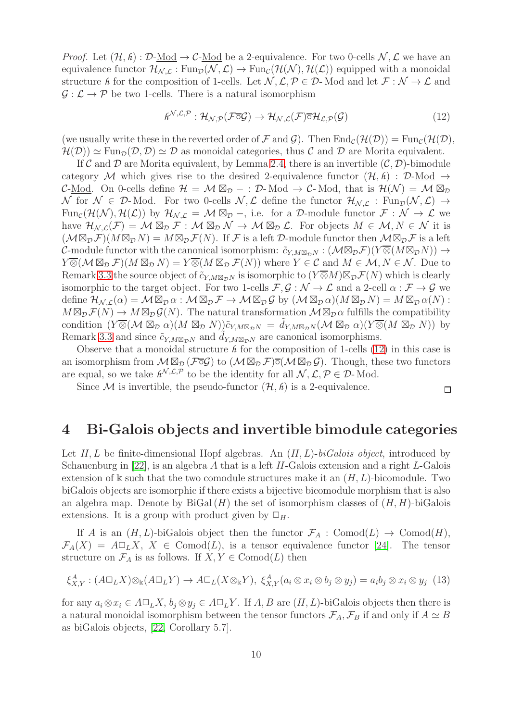*Proof.* Let  $(\mathcal{H}, \hat{\mu}) : \mathcal{D}\text{-}\underline{\text{Mod}} \to \mathcal{C}\text{-}\underline{\text{Mod}}$  be a 2-equivalence. For two 0-cells  $\mathcal{N}, \mathcal{L}$  we have an equivalence functor  $\mathcal{H}_{\mathcal{NL}}$ : Fun $_{\mathcal{D}}(\mathcal{N},\mathcal{L}) \to \text{Fun}_{\mathcal{C}}(\mathcal{H}(\mathcal{N}),\mathcal{H}(\mathcal{L}))$  equipped with a monoidal structure *h* for the composition of 1-cells. Let  $\mathcal{N}, \mathcal{L}, \mathcal{P} \in \mathcal{D}$ -Mod and let  $\mathcal{F} : \mathcal{N} \to \mathcal{L}$  and  $\mathcal{G}: \mathcal{L} \to \mathcal{P}$  be two 1-cells. There is a natural isomorphism

<span id="page-9-0"></span>
$$
h^{\mathcal{N},\mathcal{L},\mathcal{P}}: \mathcal{H}_{\mathcal{N},\mathcal{P}}(\mathcal{F}\overline{\circ}\mathcal{G}) \to \mathcal{H}_{\mathcal{N},\mathcal{L}}(\mathcal{F})\overline{\circ}\mathcal{H}_{\mathcal{L},\mathcal{P}}(\mathcal{G})
$$
\n(12)

(we usually write these in the reverted order of F and G). Then  $\text{End}_{\mathcal{C}}(\mathcal{H}(\mathcal{D})) = \text{Fun}_{\mathcal{C}}(\mathcal{H}(\mathcal{D}),$  $\mathcal{H}(\mathcal{D}) \simeq \text{Fun}_{\mathcal{D}}(\mathcal{D}, \mathcal{D}) \simeq \mathcal{D}$  as monoidal categories, thus C and D are Morita equivalent.

If C and D are Morita equivalent, by Lemma [2.4,](#page-5-0) there is an invertible  $(C, D)$ -bimodule category M which gives rise to the desired 2-equivalence functor  $(\mathcal{H}, \hat{\mu})$  : D-Mod  $\rightarrow$ C-Mod. On 0-cells define  $\mathcal{H} = \mathcal{M} \boxtimes_{\mathcal{D}} - : \mathcal{D}$ -Mod  $\rightarrow$  C-Mod, that is  $\mathcal{H}(\mathcal{N}) = \mathcal{M} \boxtimes_{\mathcal{D}}$ N for  $\mathcal{N} \in \mathcal{D}$ -Mod. For two 0-cells  $\mathcal{N}, \mathcal{L}$  define the functor  $\mathcal{H}_{\mathcal{N},\mathcal{L}} : \text{Fun}_{\mathcal{D}}(\mathcal{N},\mathcal{L}) \to$ Func $(\mathcal{H}(\mathcal{N}), \mathcal{H}(\mathcal{L}))$  by  $\mathcal{H}_{\mathcal{N},\mathcal{L}} = \mathcal{M} \boxtimes_{\mathcal{D}}$  -, i.e. for a D-module functor  $\mathcal{F} : \mathcal{N} \to \mathcal{L}$  we have  $\mathcal{H}_{\mathcal{N},\mathcal{L}}(\mathcal{F}) = \mathcal{M} \boxtimes_{\mathcal{D}} \mathcal{F} : \mathcal{M} \boxtimes_{\mathcal{D}} \mathcal{N} \to \mathcal{M} \boxtimes_{\mathcal{D}} \mathcal{L}$ . For objects  $M \in \mathcal{M}, N \in \mathcal{N}$  it is  $(\mathcal{M}\boxtimes_{\mathcal{D}}\mathcal{F})(M\boxtimes_{\mathcal{D}}N)=M\boxtimes_{\mathcal{D}}\mathcal{F}(N)$ . If  $\mathcal{F}$  is a left  $\mathcal{D}\text{-module functor}$  then  $\mathcal{M}\boxtimes_{\mathcal{D}}\mathcal{F}$  is a left C-module functor with the canonical isomorphism:  $\tilde{c}_{Y,M\boxtimes_{\mathcal{D}}N} : (\mathcal{M}\boxtimes_{\mathcal{D}}\mathcal{F})(Y\overline{\otimes}(M\boxtimes_{\mathcal{D}}N)) \rightarrow$  $Y\overline{\otimes}(\mathcal{M}\boxtimes_{\mathcal{D}}\mathcal{F})(M\boxtimes_{\mathcal{D}}N)=Y\overline{\otimes}(M\boxtimes_{\mathcal{D}}\mathcal{F}(N))$  where  $Y\in\mathcal{C}$  and  $M\in\mathcal{M}, N\in\mathcal{N}$ . Due to Remark [3.3](#page-8-0) the source object of  $\tilde{c}_{Y,M\boxtimes_{\mathcal{D}}N}$  is isomorphic to  $(Y\overline{\otimes}M)\boxtimes_{\mathcal{D}}\mathcal{F}(N)$  which is clearly isomorphic to the target object. For two 1-cells  $\mathcal{F}, \mathcal{G} : \mathcal{N} \to \mathcal{L}$  and a 2-cell  $\alpha : \mathcal{F} \to \mathcal{G}$  we define  $\mathcal{H}_{\mathcal{N},\mathcal{L}}(\alpha) = \mathcal{M} \boxtimes_{\mathcal{D}} \alpha : \mathcal{M} \boxtimes_{\mathcal{D}} \mathcal{F} \to \mathcal{M} \boxtimes_{\mathcal{D}} \mathcal{G}$  by  $(\mathcal{M} \boxtimes_{\mathcal{D}} \alpha)(\mathcal{M} \boxtimes_{\mathcal{D}} N) = \mathcal{M} \boxtimes_{\mathcal{D}} \alpha(N)$ :  $M \boxtimes_{\mathcal{D}} \mathcal{F}(N) \to M \boxtimes_{\mathcal{D}} \mathcal{G}(N)$ . The natural transformation  $M \boxtimes_{\mathcal{D}} \alpha$  fulfills the compatibility condition  $(Y \overline{\otimes} (M \boxtimes_{\mathcal{D}} \alpha)(M \boxtimes_{\mathcal{D}} N))\tilde{c}_{Y,M\boxtimes_{\mathcal{D}} N} = d_{Y,M\boxtimes_{\mathcal{D}} N}(\mathcal{M} \boxtimes_{\mathcal{D}} \alpha)(Y \overline{\otimes} (M \boxtimes_{\mathcal{D}} N))$  by Remark [3.3](#page-8-0) and since  $\tilde{c}_{Y,M\boxtimes_{\mathcal{D}}N}$  and  $\tilde{d}_{Y,M\boxtimes_{\mathcal{D}}N}$  are canonical isomorphisms.

Observe that a monoidal structure *h* for the composition of 1-cells [\(12\)](#page-9-0) in this case is an isomorphism from  $M \boxtimes_{\mathcal{D}} (\mathcal{F} \overline{\circ} \mathcal{G})$  to  $(M \boxtimes_{\mathcal{D}} \mathcal{F}) \overline{\circ} (M \boxtimes_{\mathcal{D}} \mathcal{G})$ . Though, these two functors are equal, so we take  $h^{\mathcal{N}, \mathcal{L}, \mathcal{P}}$  to be the identity for all  $\mathcal{N}, \mathcal{L}, \mathcal{P} \in \mathcal{D}$ -Mod.

Since M is invertible, the pseudo-functor  $(\mathcal{H}, \hat{\mu})$  is a 2-equivalence.

## 4 Bi-Galois objects and invertible bimodule categories

Let  $H, L$  be finite-dimensional Hopf algebras. An  $(H, L)$ -biGalois object, introduced by Schauenburg in  $[22]$ , is an algebra A that is a left H-Galois extension and a right L-Galois extension of k such that the two comodule structures make it an  $(H, L)$ -bicomodule. Two biGalois objects are isomorphic if there exists a bijective bicomodule morphism that is also an algebra map. Denote by  $BiGal(H)$  the set of isomorphism classes of  $(H, H)$ -biGalois extensions. It is a group with product given by  $\square_H$ .

If A is an  $(H, L)$ -biGalois object then the functor  $\mathcal{F}_A$ : Comod $(L) \to \text{Comod}(H)$ ,  $\mathcal{F}_A(X) = A \square_L X, X \in \text{Comod}(L),$  is a tensor equivalence functor [\[24\]](#page-25-6). The tensor structure on  $\mathcal{F}_A$  is as follows. If  $X, Y \in \text{Comod}(L)$  then

$$
\xi_{X,Y}^A : (A \square_L X) \otimes_{\mathbb{k}} (A \square_L Y) \to A \square_L (X \otimes_{\mathbb{k}} Y), \ \xi_{X,Y}^A (a_i \otimes x_i \otimes b_j \otimes y_j) = a_i b_j \otimes x_i \otimes y_j \tag{13}
$$

<span id="page-9-1"></span>for any  $a_i \otimes x_i \in A \square_L X$ ,  $b_i \otimes y_i \in A \square_L Y$ . If  $A, B$  are  $(H, L)$ -biGalois objects then there is a natural monoidal isomorphism between the tensor functors  $\mathcal{F}_A$ ,  $\mathcal{F}_B$  if and only if  $A \simeq B$ as biGalois objects, [\[22,](#page-25-2) Corollary 5.7].

 $\Box$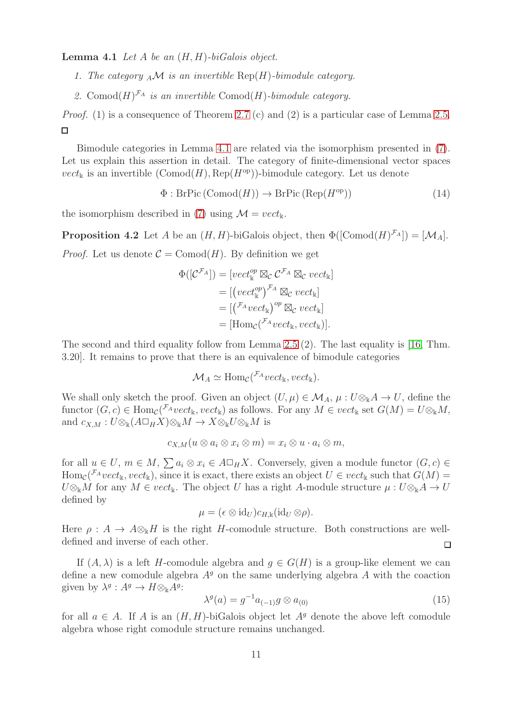**Lemma 4.1** Let A be an  $(H, H)$ -biGalois object.

- 1. The category  $_A\mathcal{M}$  is an invertible  $\text{Rep}(H)$ -bimodule category.
- 2. Comod $(H)^{\mathcal{F}_A}$  is an invertible Comod $(H)$ -bimodule category.

Proof. (1) is a consequence of Theorem [2.7](#page-7-2) (c) and (2) is a particular case of Lemma [2.5.](#page-5-1)  $\Box$ 

Bimodule categories in Lemma [4.1](#page-9-1) are related via the isomorphism presented in [\(7\)](#page-5-2). Let us explain this assertion in detail. The category of finite-dimensional vector spaces  $vect_{\mathbb{k}}$  is an invertible  $(\text{Comod}(H), \text{Rep}(H^{\text{op}}))$ -bimodule category. Let us denote

> $\Phi: {\rm BrPic\,}({\rm Comod}(H)) \to {\rm BrPic\,}({\rm Rep}(H^{\rm op}))$  $(14)$

<span id="page-10-0"></span>the isomorphism described in [\(7\)](#page-5-2) using  $\mathcal{M} = vect_{\mathbb{k}}$ .

**Proposition 4.2** Let A be an  $(H, H)$ -biGalois object, then  $\Phi([\text{Comod}(H)^{\mathcal{F}_A}]) = [\mathcal{M}_A].$ *Proof.* Let us denote  $\mathcal{C} = \text{Comod}(H)$ . By definition we get

$$
\Phi([\mathcal{C}^{\mathcal{F}_A}]) = [vect_{\mathbb{k}}^{op} \boxtimes_{\mathcal{C}} \mathcal{C}^{\mathcal{F}_A} \boxtimes_{\mathcal{C}} vect_{\mathbb{k}}]
$$
  
\n
$$
= [(vect_{\mathbb{k}}^{op})^{\mathcal{F}_A} \boxtimes_{\mathcal{C}} vect_{\mathbb{k}}]
$$
  
\n
$$
= [({}^{\mathcal{F}_A} vect_{\mathbb{k}})^{op} \boxtimes_{\mathcal{C}} vect_{\mathbb{k}}]
$$
  
\n
$$
= [Hom_{\mathcal{C}}({}^{\mathcal{F}_A} vect_{\mathbb{k}}, vect_{\mathbb{k}})].
$$

The second and third equality follow from Lemma [2.5](#page-5-1) (2). The last equality is [\[16,](#page-25-4) Thm. 3.20]. It remains to prove that there is an equivalence of bimodule categories

$$
\mathcal{M}_A \simeq \text{Hom}_{\mathcal{C}}(\mathcal{F}_A \text{vect}_\Bbbk, \text{vect}_\Bbbk).
$$

We shall only sketch the proof. Given an object  $(U, \mu) \in \mathcal{M}_A$ ,  $\mu : U \otimes_{\Bbbk} A \to U$ , define the functor  $(G, c) \in Hom_{\mathcal{C}}(\mathcal{F}_A \text{vect}_k, \text{vect}_k)$  as follows. For any  $M \in \text{vect}_k$  set  $G(M) = U \otimes_k M$ , and  $c_{X,M}: U \otimes_{\Bbbk} (A \square_H X) \otimes_{\Bbbk} M \rightarrow X \otimes_{\Bbbk} U \otimes_{\Bbbk} M$  is

$$
c_{X,M}(u\otimes a_i\otimes x_i\otimes m)=x_i\otimes u\cdot a_i\otimes m,
$$

for all  $u \in U$ ,  $m \in M$ ,  $\sum a_i \otimes x_i \in A \square_H X$ . Conversely, given a module functor  $(G, c) \in$  $\text{Hom}_{\mathcal{C}}(\mathcal{F}_A\text{vect}_\Bbbk, \text{vect}_\Bbbk),$  since it is exact, there exists an object  $U \in \text{vect}_\Bbbk$  such that  $G(M)$  $U \otimes_{\mathbb{k}} M$  for any  $M \in vect_{\mathbb{k}}$ . The object U has a right A-module structure  $\mu : U \otimes_{\mathbb{k}} A \to U$ defined by

$$
\mu = (\epsilon \otimes id_{U}) c_{H,\mathbb{k}} (\mathrm{id}_{U} \otimes \rho).
$$

Here  $\rho: A \to A \otimes_k H$  is the right H-comodule structure. Both constructions are welldefined and inverse of each other. □

If  $(A, \lambda)$  is a left H-comodule algebra and  $g \in G(H)$  is a group-like element we can define a new comodule algebra  $A<sup>g</sup>$  on the same underlying algebra A with the coaction given by  $\lambda^g : A^g \to H \otimes_{\mathbb{k}} A^g$ :

<span id="page-10-1"></span>
$$
\lambda^{g}(a) = g^{-1} a_{(-1)} g \otimes a_{(0)} \tag{15}
$$

for all  $a \in A$ . If A is an  $(H, H)$ -biGalois object let  $A<sup>g</sup>$  denote the above left comodule algebra whose right comodule structure remains unchanged.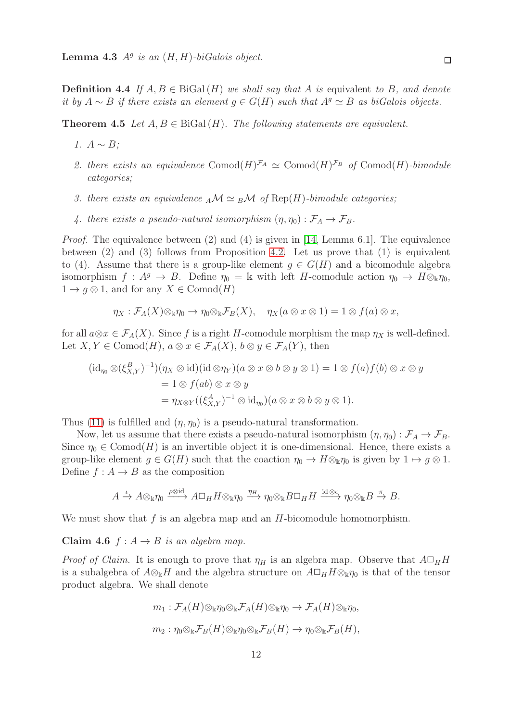$\Box$ 

<span id="page-11-1"></span>**Definition 4.4** If  $A, B \in \text{BiGal}(H)$  we shall say that A is equivalent to B, and denote it by  $A \sim B$  if there exists an element  $g \in G(H)$  such that  $A<sup>g</sup> \simeq B$  as biGalois objects.

<span id="page-11-0"></span>**Theorem 4.5** Let  $A, B \in \text{BiGal}(H)$ . The following statements are equivalent.

- 1.  $A \sim B$ ;
- 2. there exists an equivalence Comod $(H)^{\mathcal{F}_A} \simeq \text{Comod}(H)^{\mathcal{F}_B}$  of Comod $(H)$ -bimodule categories;
- 3. there exists an equivalence  $_A\mathcal{M} \simeq {}_B\mathcal{M}$  of Rep(H)-bimodule categories;
- 4. there exists a pseudo-natural isomorphism  $(\eta, \eta_0) : \mathcal{F}_A \to \mathcal{F}_B$ .

*Proof.* The equivalence between (2) and (4) is given in [\[14,](#page-24-3) Lemma 6.1]. The equivalence between  $(2)$  and  $(3)$  follows from Proposition [4.2.](#page-10-0) Let us prove that  $(1)$  is equivalent to (4). Assume that there is a group-like element  $g \in G(H)$  and a bicomodule algebra isomorphism  $f : A^g \to B$ . Define  $\eta_0 = \mathbb{k}$  with left H-comodule action  $\eta_0 \to H \otimes_{\mathbb{k}} \eta_0$ ,  $1 \rightarrow g \otimes 1$ , and for any  $X \in \text{Comod}(H)$ 

$$
\eta_X: \mathcal{F}_A(X) \otimes_{\Bbbk} \eta_0 \to \eta_0 \otimes_{\Bbbk} \mathcal{F}_B(X), \quad \eta_X(a \otimes x \otimes 1) = 1 \otimes f(a) \otimes x,
$$

for all  $a \otimes x \in \mathcal{F}_A(X)$ . Since f is a right H-comodule morphism the map  $\eta_X$  is well-defined. Let  $X, Y \in \text{Comod}(H)$ ,  $a \otimes x \in \mathcal{F}_A(X)$ ,  $b \otimes y \in \mathcal{F}_A(Y)$ , then

$$
(\mathrm{id}_{\eta_0} \otimes (\xi_{X,Y}^B)^{-1})(\eta_X \otimes \mathrm{id})(\mathrm{id} \otimes \eta_Y)(a \otimes x \otimes b \otimes y \otimes 1) = 1 \otimes f(a)f(b) \otimes x \otimes y
$$
  
= 1 \otimes f(ab) \otimes x \otimes y  
=  $\eta_{X \otimes Y}((\xi_{X,Y}^A)^{-1} \otimes \mathrm{id}_{\eta_0})(a \otimes x \otimes b \otimes y \otimes 1).$ 

Thus [\(11\)](#page-7-0) is fulfilled and  $(\eta, \eta_0)$  is a pseudo-natural transformation.

Now, let us assume that there exists a pseudo-natural isomorphism  $(\eta, \eta_0): \mathcal{F}_A \to \mathcal{F}_B$ . Since  $\eta_0 \in \text{Comod}(H)$  is an invertible object it is one-dimensional. Hence, there exists a group-like element  $g \in G(H)$  such that the coaction  $\eta_0 \to H \otimes_{\mathbb{k}} \eta_0$  is given by  $1 \mapsto g \otimes 1$ . Define  $f : A \to B$  as the composition

$$
A\xrightarrow{\iota}A\otimes_{\Bbbk}\eta_0\xrightarrow{\rho\otimes\mathrm{id}}A\Box_H H\otimes_{\Bbbk}\eta_0\xrightarrow{\eta_H}\eta_0\otimes_{\Bbbk}B\Box_H H\xrightarrow{\mathrm{id}\otimes\epsilon}\eta_0\otimes_{\Bbbk}B\xrightarrow{\pi}B.
$$

We must show that  $f$  is an algebra map and an  $H$ -bicomodule homomorphism.

Claim 4.6  $f : A \rightarrow B$  is an algebra map.

*Proof of Claim.* It is enough to prove that  $\eta_H$  is an algebra map. Observe that  $A\Box_H H$ is a subalgebra of  $A\otimes_k H$  and the algebra structure on  $A\Box_H H\otimes_k \eta_0$  is that of the tensor product algebra. We shall denote

$$
m_1: \mathcal{F}_A(H) \otimes_{\Bbbk} \eta_0 \otimes_{\Bbbk} \mathcal{F}_A(H) \otimes_{\Bbbk} \eta_0 \to \mathcal{F}_A(H) \otimes_{\Bbbk} \eta_0,
$$
  

$$
m_2: \eta_0 \otimes_{\Bbbk} \mathcal{F}_B(H) \otimes_{\Bbbk} \eta_0 \otimes_{\Bbbk} \mathcal{F}_B(H) \to \eta_0 \otimes_{\Bbbk} \mathcal{F}_B(H),
$$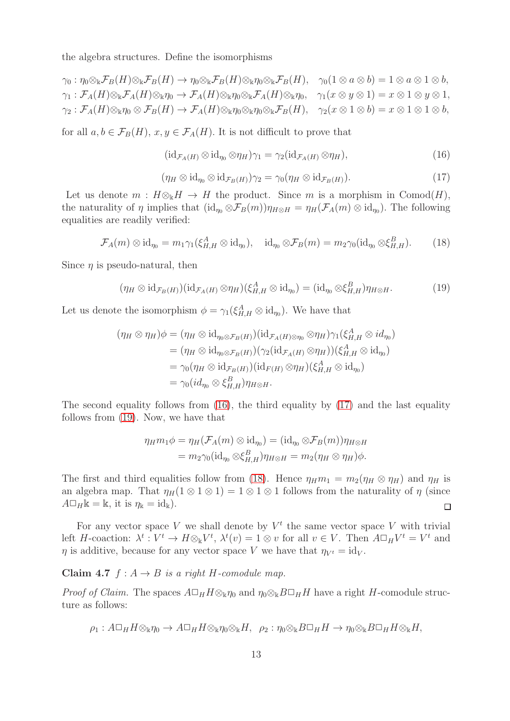the algebra structures. Define the isomorphisms

$$
\gamma_0: \eta_0 \otimes_{\mathbb{k}} \mathcal{F}_B(H) \otimes_{\mathbb{k}} \mathcal{F}_B(H) \to \eta_0 \otimes_{\mathbb{k}} \mathcal{F}_B(H) \otimes_{\mathbb{k}} \eta_0 \otimes_{\mathbb{k}} \mathcal{F}_B(H), \quad \gamma_0(1 \otimes a \otimes b) = 1 \otimes a \otimes 1 \otimes b,
$$
  
\n
$$
\gamma_1: \mathcal{F}_A(H) \otimes_{\mathbb{k}} \mathcal{F}_A(H) \otimes_{\mathbb{k}} \eta_0 \to \mathcal{F}_A(H) \otimes_{\mathbb{k}} \eta_0 \otimes_{\mathbb{k}} \mathcal{F}_A(H) \otimes_{\mathbb{k}} \eta_0, \quad \gamma_1(x \otimes y \otimes 1) = x \otimes 1 \otimes y \otimes 1,
$$
  
\n
$$
\gamma_2: \mathcal{F}_A(H) \otimes_{\mathbb{k}} \eta_0 \otimes \mathcal{F}_B(H) \to \mathcal{F}_A(H) \otimes_{\mathbb{k}} \eta_0 \otimes_{\mathbb{k}} \mathcal{F}_B(H), \quad \gamma_2(x \otimes 1 \otimes b) = x \otimes 1 \otimes 1 \otimes b,
$$

for all  $a, b \in \mathcal{F}_B(H)$ ,  $x, y \in \mathcal{F}_A(H)$ . It is not difficult to prove that

<span id="page-12-0"></span>
$$
(\mathrm{id}_{\mathcal{F}_A(H)} \otimes \mathrm{id}_{\eta_0} \otimes \eta_H) \gamma_1 = \gamma_2(\mathrm{id}_{\mathcal{F}_A(H)} \otimes \eta_H),\tag{16}
$$

<span id="page-12-2"></span><span id="page-12-1"></span>
$$
(\eta_H \otimes \mathrm{id}_{\eta_0} \otimes \mathrm{id}_{\mathcal{F}_B(H)})\gamma_2 = \gamma_0(\eta_H \otimes \mathrm{id}_{\mathcal{F}_B(H)}).
$$
\n(17)

Let us denote  $m : H \otimes_k H \to H$  the product. Since m is a morphism in Comod(H), the naturality of  $\eta$  implies that  $(\mathrm{id}_{\eta_0} \otimes \mathcal{F}_B(m))\eta_{H\otimes H} = \eta_H(\mathcal{F}_A(m) \otimes \mathrm{id}_{\eta_0})$ . The following equalities are readily verified:

<span id="page-12-3"></span>
$$
\mathcal{F}_A(m) \otimes \mathrm{id}_{\eta_0} = m_1 \gamma_1(\xi_{H,H}^A \otimes \mathrm{id}_{\eta_0}), \quad \mathrm{id}_{\eta_0} \otimes \mathcal{F}_B(m) = m_2 \gamma_0(\mathrm{id}_{\eta_0} \otimes \xi_{H,H}^B). \tag{18}
$$

Since  $\eta$  is pseudo-natural, then

$$
(\eta_H \otimes \mathrm{id}_{\mathcal{F}_B(H)}) (\mathrm{id}_{\mathcal{F}_A(H)} \otimes \eta_H) (\xi_{H,H}^A \otimes \mathrm{id}_{\eta_0}) = (\mathrm{id}_{\eta_0} \otimes \xi_{H,H}^B) \eta_{H \otimes H}.
$$
 (19)

Let us denote the isomorphism  $\phi = \gamma_1(\xi_{H,H}^A \otimes id_{\eta_0})$ . We have that

$$
(\eta_H \otimes \eta_H)\phi = (\eta_H \otimes id_{\eta_0 \otimes \mathcal{F}_B(H)}) (id_{\mathcal{F}_A(H) \otimes \eta_0} \otimes \eta_H)\gamma_1(\xi_{H,H}^A \otimes id_{\eta_0})
$$
  
\n
$$
= (\eta_H \otimes id_{\eta_0 \otimes \mathcal{F}_B(H)}) (\gamma_2 (id_{\mathcal{F}_A(H)} \otimes \eta_H))(\xi_{H,H}^A \otimes id_{\eta_0})
$$
  
\n
$$
= \gamma_0(\eta_H \otimes id_{\mathcal{F}_B(H)}) (id_{F(H)} \otimes \eta_H)(\xi_{H,H}^A \otimes id_{\eta_0})
$$
  
\n
$$
= \gamma_0 (id_{\eta_0} \otimes \xi_{H,H}^B) \eta_{H \otimes H}.
$$

The second equality follows from  $(16)$ , the third equality by  $(17)$  and the last equality follows from [\(19\)](#page-12-2). Now, we have that

$$
\eta_H m_1 \phi = \eta_H(\mathcal{F}_A(m) \otimes \mathrm{id}_{\eta_0}) = (\mathrm{id}_{\eta_0} \otimes \mathcal{F}_B(m)) \eta_{H \otimes H}
$$
  
= 
$$
m_2 \gamma_0 (\mathrm{id}_{\eta_0} \otimes \xi_{H,H}^B) \eta_{H \otimes H} = m_2 (\eta_H \otimes \eta_H) \phi.
$$

The first and third equalities follow from [\(18\)](#page-12-3). Hence  $\eta_H m_1 = m_2(\eta_H \otimes \eta_H)$  and  $\eta_H$  is an algebra map. That  $\eta_H(1 \otimes 1 \otimes 1) = 1 \otimes 1 \otimes 1$  follows from the naturality of  $\eta$  (since  $A\Box_H\Bbbk = \Bbbk$ , it is  $\eta_{\Bbbk} = \mathrm{id}_{\Bbbk}$ .  $\Box$ 

For any vector space V we shall denote by  $V^t$  the same vector space V with trivial left H-coaction:  $\lambda^t: V^t \to H \otimes_{\mathbb{k}} V^t$ ,  $\lambda^t(v) = 1 \otimes v$  for all  $v \in V$ . Then  $A \Box_H V^t = V^t$  and  $\eta$  is additive, because for any vector space V we have that  $\eta_{V^t} = id_V$ .

Claim 4.7  $f : A \rightarrow B$  is a right H-comodule map.

*Proof of Claim.* The spaces  $A\Box_H H\otimes_{\Bbbk} \eta_0$  and  $\eta_0\otimes_{\Bbbk} B\Box_H H$  have a right H-comodule structure as follows:

$$
\rho_1: A \Box_H H \otimes_{\Bbbk} \eta_0 \to A \Box_H H \otimes_{\Bbbk} \eta_0 \otimes_{\Bbbk} H, \quad \rho_2: \eta_0 \otimes_{\Bbbk} B \Box_H H \to \eta_0 \otimes_{\Bbbk} B \Box_H H \otimes_{\Bbbk} H,
$$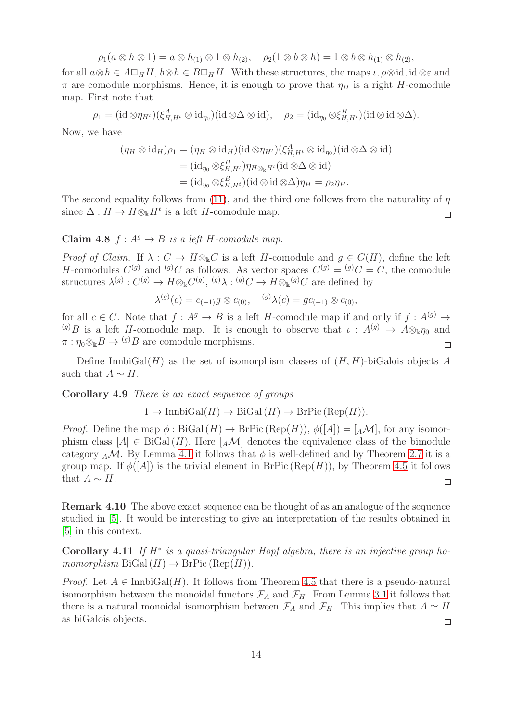$$
\rho_1(a\otimes h\otimes 1)=a\otimes h_{(1)}\otimes 1\otimes h_{(2)},\quad \rho_2(1\otimes b\otimes h)=1\otimes b\otimes h_{(1)}\otimes h_{(2)},
$$

for all  $a\otimes h \in A\Box_H H$ ,  $b\otimes h \in B\Box_H H$ . With these structures, the maps  $\iota, \rho \otimes id$ , id  $\otimes \varepsilon$  and  $\pi$  are comodule morphisms. Hence, it is enough to prove that  $\eta_H$  is a right H-comodule map. First note that

$$
\rho_1 = (\mathrm{id} \otimes \eta_{H^t})(\xi_{H,H^t}^A \otimes \mathrm{id}_{\eta_0})(\mathrm{id} \otimes \Delta \otimes \mathrm{id}), \quad \rho_2 = (\mathrm{id}_{\eta_0} \otimes \xi_{H,H^t}^B)(\mathrm{id} \otimes \mathrm{id} \otimes \Delta).
$$

Now, we have

$$
(\eta_H \otimes id_H)\rho_1 = (\eta_H \otimes id_H)(id \otimes \eta_{H^t})(\xi_{H,H^t}^A \otimes id_{\eta_0})(id \otimes \Delta \otimes id)
$$
  
= 
$$
(id_{\eta_0} \otimes \xi_{H,H^t}^B)\eta_{H \otimes_k H^t}(id \otimes \Delta \otimes id)
$$
  
= 
$$
(id_{\eta_0} \otimes \xi_{H,H^t}^B)(id \otimes id \otimes \Delta)\eta_H = \rho_2 \eta_H.
$$

The second equality follows from [\(11\)](#page-7-0), and the third one follows from the naturality of  $\eta$ since  $\Delta: H \to H \otimes_{\mathbb{k}} H^t$  is a left H-comodule map.  $\Box$ 

#### Claim 4.8  $f : A^g \to B$  is a left H-comodule map.

Proof of Claim. If  $\lambda: C \to H \otimes_{\mathbb{k}} C$  is a left H-comodule and  $q \in G(H)$ , define the left H-comodules  $C^{(g)}$  and  $^{(g)}C$  as follows. As vector spaces  $C^{(g)} = {}^{(g)}C = C$ , the comodule structures  $\lambda^{(g)}: C^{(g)} \to H \otimes_{\Bbbk} C^{(g)}, \ ^{(g)} \lambda: {}^{(g)}C \to H \otimes_{\Bbbk} {}^{(g)}C$  are defined by

$$
\lambda^{(g)}(c) = c_{(-1)}g \otimes c_{(0)}, \quad {}^{(g)}\lambda(c) = gc_{(-1)} \otimes c_{(0)},
$$

for all  $c \in C$ . Note that  $f : A^g \to B$  is a left H-comodule map if and only if  $f : A^{(g)} \to$ (g) B is a left H-comodule map. It is enough to observe that  $\iota : A^{(g)} \to A \otimes_{\mathbb{k}} \eta_0$  and  $\pi : \eta_0 \otimes_{\Bbbk} B \to {}^{(g)}B$  are comodule morphisms.  $\Box$ 

<span id="page-13-0"></span>Define InnbiGal( $H$ ) as the set of isomorphism classes of  $(H, H)$ -biGalois objects A such that  $A \sim H$ .

Corollary 4.9 There is an exact sequence of groups

$$
1 \to \text{InnbiGal}(H) \to \text{BiGal}(H) \to \text{BrPic}(\text{Rep}(H)).
$$

*Proof.* Define the map  $\phi$ : BiGal  $(H) \to \text{BrPic}(\text{Rep}(H)), \phi([A]) = [A \mathcal{M}]$ , for any isomorphism class  $[A] \in \text{BiGal}(H)$ . Here  $[A\mathcal{M}]$  denotes the equivalence class of the bimodule category  $_A\mathcal{M}$ . By Lemma [4.1](#page-9-1) it follows that  $\phi$  is well-defined and by Theorem [2.7](#page-7-2) it is a group map. If  $\phi([A])$  is the trivial element in BrPic (Rep(H)), by Theorem [4.5](#page-11-0) it follows that  $A \sim H$ .  $\Box$ 

Remark 4.10 The above exact sequence can be thought of as an analogue of the sequence studied in [\[5\]](#page-24-7). It would be interesting to give an interpretation of the results obtained in [\[5\]](#page-24-7) in this context.

Corollary 4.11 If  $H^*$  is a quasi-triangular Hopf algebra, there is an injective group homomorphism  $\text{BiGal}(H) \to \text{BrPic}(\text{Rep}(H)).$ 

*Proof.* Let  $A \in \text{InnbiGal}(H)$ . It follows from Theorem [4.5](#page-11-0) that there is a pseudo-natural isomorphism between the monoidal functors  $\mathcal{F}_A$  and  $\mathcal{F}_H$ . From Lemma [3.1](#page-7-1) it follows that there is a natural monoidal isomorphism between  $\mathcal{F}_A$  and  $\mathcal{F}_H$ . This implies that  $A \simeq H$ as biGalois objects.  $\Box$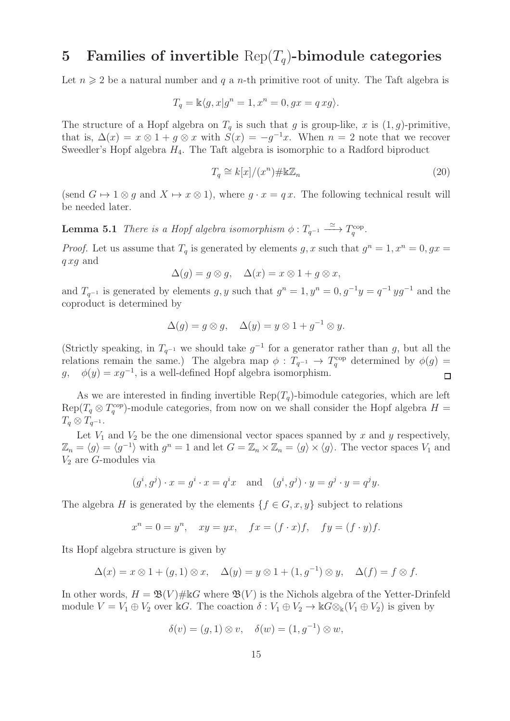# 5 Families of invertible  $\text{Rep}(T_q)$ -bimodule categories

Let  $n \geq 2$  be a natural number and q a n-th primitive root of unity. The Taft algebra is

$$
T_q = \mathbb{K}\langle g, x | g^n = 1, x^n = 0, gx = q x g \rangle.
$$

The structure of a Hopf algebra on  $T_q$  is such that g is group-like, x is  $(1, g)$ -primitive, that is,  $\Delta(x) = x \otimes 1 + g \otimes x$  with  $S(x) = -g^{-1}x$ . When  $n = 2$  note that we recover Sweedler's Hopf algebra  $H_4$ . The Taft algebra is isomorphic to a Radford biproduct

$$
T_q \cong k[x]/(x^n) \# \mathbb{k} \mathbb{Z}_n \tag{20}
$$

(send  $G \mapsto 1 \otimes g$  and  $X \mapsto x \otimes 1$ ), where  $g \cdot x = q x$ . The following technical result will be needed later.

**Lemma 5.1** There is a Hopf algebra isomorphism  $\phi: T_{q^{-1}} \longrightarrow T_q^{\text{cop}}$ .

*Proof.* Let us assume that  $T_q$  is generated by elements g, x such that  $g^n = 1, x^n = 0, gx =$ q xg and

$$
\Delta(g) = g \otimes g, \quad \Delta(x) = x \otimes 1 + g \otimes x,
$$

and  $T_{q^{-1}}$  is generated by elements g, y such that  $g^n = 1$ ,  $y^n = 0$ ,  $g^{-1}y = q^{-1}yg^{-1}$  and the coproduct is determined by

$$
\Delta(g) = g \otimes g, \quad \Delta(y) = y \otimes 1 + g^{-1} \otimes y.
$$

(Strictly speaking, in  $T_{q^{-1}}$  we should take  $g^{-1}$  for a generator rather than g, but all the relations remain the same.) The algebra map  $\phi : T_{q^{-1}} \to T_q^{\text{cop}}$  determined by  $\phi(g) =$  $g, \phi(y) = xg^{-1}$ , is a well-defined Hopf algebra isomorphism. □

As we are interested in finding invertible  $\text{Rep}(T_q)$ -bimodule categories, which are left  $\text{Rep}(T_q \otimes T_q^{cop})$ -module categories, from now on we shall consider the Hopf algebra  $H =$  $T_q \otimes T_{q^{-1}}$ .

Let  $V_1$  and  $V_2$  be the one dimensional vector spaces spanned by x and y respectively,  $\mathbb{Z}_n = \langle g \rangle = \langle g^{-1} \rangle$  with  $g^n = 1$  and let  $G = \mathbb{Z}_n \times \mathbb{Z}_n = \langle g \rangle \times \langle g \rangle$ . The vector spaces  $V_1$  and  $V_2$  are G-modules via

$$
(g^i, g^j) \cdot x = g^i \cdot x = q^i x
$$
 and  $(g^i, g^j) \cdot y = g^j \cdot y = q^j y$ .

The algebra H is generated by the elements  $\{f \in G, x, y\}$  subject to relations

$$
x^n = 0 = y^n, \quad xy = yx, \quad fx = (f \cdot x)f, \quad fy = (f \cdot y)f.
$$

Its Hopf algebra structure is given by

$$
\Delta(x) = x \otimes 1 + (g, 1) \otimes x, \quad \Delta(y) = y \otimes 1 + (1, g^{-1}) \otimes y, \quad \Delta(f) = f \otimes f.
$$

In other words,  $H = \mathfrak{B}(V) \# \mathbb{R}G$  where  $\mathfrak{B}(V)$  is the Nichols algebra of the Yetter-Drinfeld module  $V = V_1 \oplus V_2$  over kG. The coaction  $\delta : V_1 \oplus V_2 \to \Bbbk G \otimes_{\Bbbk} (V_1 \oplus V_2)$  is given by

$$
\delta(v) = (g, 1) \otimes v, \quad \delta(w) = (1, g^{-1}) \otimes w,
$$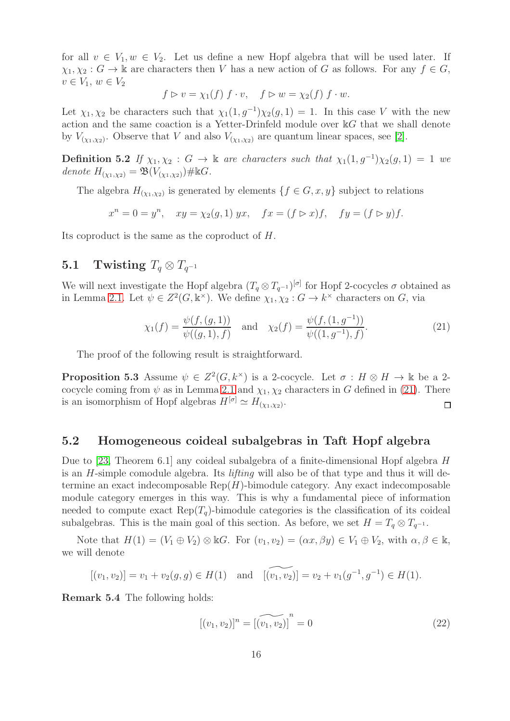for all  $v \in V_1, w \in V_2$ . Let us define a new Hopf algebra that will be used later. If  $\chi_1, \chi_2 : G \to \mathbb{k}$  are characters then V has a new action of G as follows. For any  $f \in G$ ,  $v \in V_1, w \in V_2$ 

$$
f \rhd v = \chi_1(f) \cdot v, \quad f \rhd w = \chi_2(f) \cdot w.
$$

Let  $\chi_1, \chi_2$  be characters such that  $\chi_1(1,g^{-1})\chi_2(g,1) = 1$ . In this case V with the new action and the same coaction is a Yetter-Drinfeld module over kG that we shall denote by  $V_{(\chi_1,\chi_2)}$ . Observe that V and also  $V_{(\chi_1,\chi_2)}$  are quantum linear spaces, see [\[2\]](#page-24-8).

**Definition 5.2** If  $\chi_1, \chi_2 : G \to \mathbb{k}$  are characters such that  $\chi_1(1, g^{-1})\chi_2(g, 1) = 1$  we denote  $H_{(\chi_1,\chi_2)} = \mathfrak{B}(V_{(\chi_1,\chi_2)}) \# \Bbbk G$ .

The algebra  $H_{(\chi_1,\chi_2)}$  is generated by elements  $\{f \in G, x, y\}$  subject to relations

$$
x^n = 0 = y^n
$$
,  $xy = \chi_2(g, 1) yx$ ,  $fx = (f \rhd x)f$ ,  $fy = (f \rhd y)f$ .

Its coproduct is the same as the coproduct of H.

# 5.1 Twisting  $T_q \otimes T_{q^{-1}}$

We will next investigate the Hopf algebra  $(T_q \otimes T_{q^{-1}})^{[\sigma]}$  for Hopf 2-cocycles  $\sigma$  obtained as in Lemma [2.1.](#page-3-2) Let  $\psi \in Z^2(G, \mathbb{k}^\times)$ . We define  $\chi_1, \chi_2 : G \to k^\times$  characters on G, via

<span id="page-15-0"></span>
$$
\chi_1(f) = \frac{\psi(f, (g, 1))}{\psi((g, 1), f)} \quad \text{and} \quad \chi_2(f) = \frac{\psi(f, (1, g^{-1}))}{\psi((1, g^{-1}), f)}.
$$
\n(21)

The proof of the following result is straightforward.

**Proposition 5.3** Assume  $\psi \in Z^2(G, k^{\times})$  is a 2-cocycle. Let  $\sigma : H \otimes H \to \mathbb{k}$  be a 2cocycle coming from  $\psi$  as in Lemma [2.1](#page-3-2) and  $\chi_1, \chi_2$  characters in G defined in [\(21\)](#page-15-0). There is an isomorphism of Hopf algebras  $H^{[\sigma]} \simeq H_{(\chi_1,\chi_2)}$ . □

#### 5.2 Homogeneous coideal subalgebras in Taft Hopf algebra

Due to [\[23,](#page-25-0) Theorem 6.1] any coideal subalgebra of a finite-dimensional Hopf algebra H is an  $H$ -simple comodule algebra. Its *lifting* will also be of that type and thus it will determine an exact indecomposable  $\text{Rep}(H)$ -bimodule category. Any exact indecomposable module category emerges in this way. This is why a fundamental piece of information needed to compute exact  $\text{Rep}(T_a)$ -bimodule categories is the classification of its coideal subalgebras. This is the main goal of this section. As before, we set  $H = T_q \otimes T_{q^{-1}}$ .

Note that  $H(1) = (V_1 \oplus V_2) \otimes \Bbbk G$ . For  $(v_1, v_2) = (\alpha x, \beta y) \in V_1 \oplus V_2$ , with  $\alpha, \beta \in \Bbbk$ , we will denote

$$
[(v_1, v_2)] = v_1 + v_2(g, g) \in H(1) \text{ and } [(\widetilde{v_1, v_2})] = v_2 + v_1(g^{-1}, g^{-1}) \in H(1).
$$

<span id="page-15-1"></span>Remark 5.4 The following holds:

$$
[(v_1, v_2)]^n = \widetilde{[(v_1, v_2)]}^n = 0
$$
\n(22)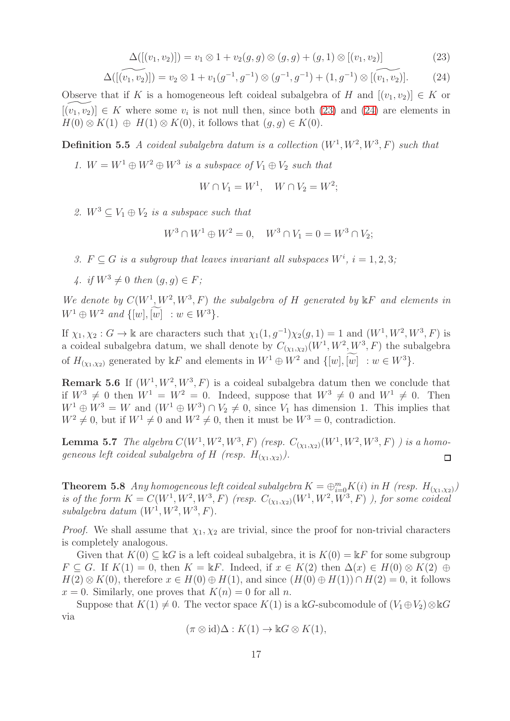<span id="page-16-0"></span>
$$
\Delta([ (v_1, v_2)]) = v_1 \otimes 1 + v_2(g, g) \otimes (g, g) + (g, 1) \otimes [(v_1, v_2)] \tag{23}
$$

<span id="page-16-1"></span>
$$
\Delta([\widetilde{(v_1, v_2)}]) = v_2 \otimes 1 + v_1(g^{-1}, g^{-1}) \otimes (g^{-1}, g^{-1}) + (1, g^{-1}) \otimes [(\widetilde{v_1, v_2})]. \tag{24}
$$

Observe that if K is a homogeneous left coideal subalgebra of H and  $[(v_1, v_2)] \in K$  or  $[(\widetilde{v_1, v_2})] \in K$  where some  $v_i$  is not null then, since both [\(23\)](#page-16-0) and [\(24\)](#page-16-1) are elements in  $H(0) \otimes K(1) \oplus H(1) \otimes K(0)$ , it follows that  $(g, g) \in K(0)$ .

**Definition 5.5** A coideal subalgebra datum is a collection  $(W^1, W^2, W^3, F)$  such that

1.  $W = W^1 \oplus W^2 \oplus W^3$  is a subspace of  $V_1 \oplus V_2$  such that

$$
W \cap V_1 = W^1, \quad W \cap V_2 = W^2;
$$

2.  $W^3 \subseteq V_1 \oplus V_2$  is a subspace such that

$$
W^{3} \cap W^{1} \oplus W^{2} = 0, \quad W^{3} \cap V_{1} = 0 = W^{3} \cap V_{2};
$$

3.  $F \subseteq G$  is a subgroup that leaves invariant all subspaces  $W^i$ ,  $i = 1, 2, 3;$ 

4. if  $W^3 \neq 0$  then  $(q, q) \in F$ ;

We denote by  $C(W^1, W^2, W^3, F)$  the subalgebra of H generated by  $\mathbb{k} F$  and elements in  $W^1 \oplus W^2$  and  $\{[w], \widetilde{[w]} \ : w \in W^3\}.$ 

If  $\chi_1, \chi_2 : G \to \mathbb{k}$  are characters such that  $\chi_1(1,g^{-1})\chi_2(g,1) = 1$  and  $(W^1,W^2,W^3,F)$  is a coideal subalgebra datum, we shall denote by  $C_{(\chi_1,\chi_2)}(W^1,W^2,W^3,F)$  the subalgebra of  $H_{(\chi_1,\chi_2)}$  generated by  $\Bbbk F$  and elements in  $W^1 \oplus W^2$  and  $\{[w], \widetilde{[w]} \ : w \in W^3\}$ .

<span id="page-16-2"></span>**Remark 5.6** If  $(W^1, W^2, W^3, F)$  is a coideal subalgebra datum then we conclude that if  $W^3 \neq 0$  then  $W^1 = W^2 = 0$ . Indeed, suppose that  $W^3 \neq 0$  and  $W^1 \neq 0$ . Then  $W^1 \oplus W^3 = W$  and  $(W^1 \oplus W^3) \cap V_2 \neq 0$ , since  $V_1$  has dimension 1. This implies that  $W^2 \neq 0$ , but if  $W^1 \neq 0$  and  $W^2 \neq 0$ , then it must be  $W^3 = 0$ , contradiction.

**Lemma 5.7** The algebra  $C(W^1, W^2, W^3, F)$  (resp.  $C_{(\chi_1,\chi_2)}(W^1, W^2, W^3, F)$  ) is a homogeneous left coideal subalgebra of H (resp.  $H_{(\chi_1,\chi_2)}$ ).  $\Box$ 

<span id="page-16-3"></span>**Theorem 5.8** Any homogeneous left coideal subalgebra  $K = \bigoplus_{i=0}^{m} K(i)$  in H (resp.  $H_{(\chi_1,\chi_2)}$ ) is of the form  $K = C(W^1, W^2, W^3, F)$  (resp.  $C_{(\chi_1, \chi_2)}(W^1, W^2, W^3, F)$ ), for some coideal subalgebra datum  $(W^1, W^2, W^3, F)$ .

*Proof.* We shall assume that  $\chi_1, \chi_2$  are trivial, since the proof for non-trivial characters is completely analogous.

Given that  $K(0) \subseteq \mathbb{k}$  is a left coideal subalgebra, it is  $K(0) = \mathbb{k}$  for some subgroup  $F \subseteq G$ . If  $K(1) = 0$ , then  $K = \mathbb{k}F$ . Indeed, if  $x \in K(2)$  then  $\Delta(x) \in H(0) \otimes K(2) \oplus$  $H(2) \otimes K(0)$ , therefore  $x \in H(0) \oplus H(1)$ , and since  $(H(0) \oplus H(1)) \cap H(2) = 0$ , it follows  $x = 0$ . Similarly, one proves that  $K(n) = 0$  for all n.

Suppose that  $K(1) \neq 0$ . The vector space  $K(1)$  is a kG-subcomodule of  $(V_1 \oplus V_2) \otimes \Bbbk G$ via

$$
(\pi \otimes id)\Delta : K(1) \to \Bbbk G \otimes K(1),
$$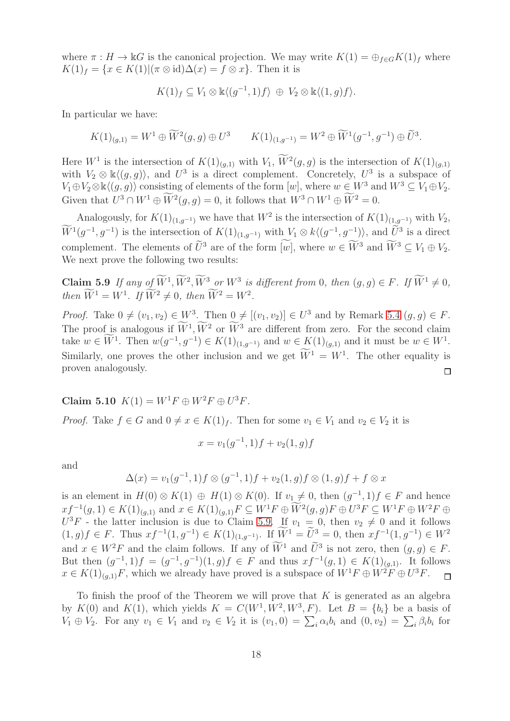where  $\pi : H \to \mathbb{k}$  is the canonical projection. We may write  $K(1) = \bigoplus_{f \in G} K(1)_f$  where  $K(1)<sub>f</sub> = {x \in K(1)|(\pi \otimes id)\Delta(x) = f \otimes x}.$  Then it is

$$
K(1)_f \subseteq V_1 \otimes \mathbb{k} \langle (g^{-1}, 1)f \rangle \oplus V_2 \otimes \mathbb{k} \langle (1, g)f \rangle.
$$

In particular we have:

$$
K(1)_{(g,1)} = W^1 \oplus \widetilde{W}^2(g,g) \oplus U^3 \qquad K(1)_{(1,g^{-1})} = W^2 \oplus \widetilde{W}^1(g^{-1},g^{-1}) \oplus \widetilde{U}^3.
$$

Here  $W^1$  is the intersection of  $K(1)_{(g,1)}$  with  $V_1$ ,  $W^2(g,g)$  is the intersection of  $K(1)_{(g,1)}$ with  $V_2 \otimes \mathbb{k} \langle (g, g) \rangle$ , and  $U^3$  is a direct complement. Concretely,  $U^3$  is a subspace of  $V_1 \oplus V_2 \otimes \mathbb{k} \langle (g, g) \rangle$  consisting of elements of the form  $[w]$ , where  $w \in W^3$  and  $W^3 \subseteq V_1 \oplus V_2$ . Given that  $U^3 \cap W^1 \oplus W^2(g, g) = 0$ , it follows that  $W^3 \cap W^1 \oplus W^2 = 0$ .

Analogously, for  $K(1)_{(1,g^{-1})}$  we have that  $W^2$  is the intersection of  $K(1)_{(1,g^{-1})}$  with  $V_2$ ,  $W^1(g^{-1}, g^{-1})$  is the intersection of  $K(1)_{(1,g^{-1})}$  with  $V_1 \otimes k\langle (g^{-1}, g^{-1}) \rangle$ , and  $\tilde{U}^3$  is a direct complement. The elements of  $\tilde{U}^3$  are of the form  $[\widetilde{w}]$ , where  $w \in \widetilde{W}^3$  and  $\widetilde{W}^3 \subset V_1 \oplus V_2$ . We next prove the following two results:

<span id="page-17-0"></span>**Claim 5.9** If any of  $W^1, W^2, W^3$  or  $W^3$  is different from 0, then  $(g, g) \in F$ . If  $W^1 \neq 0$ , then  $W^1 = W^1$ . If  $W^2 \neq 0$ , then  $W^2 = W^2$ .

*Proof.* Take  $0 \neq (v_1, v_2) \in W^3$ . Then  $0 \neq [(v_1, v_2)] \in U^3$  and by Remark [5.4](#page-15-1)  $(g, g) \in F$ . The proof is analogous if  $W^1, W^2$  or  $W^3$  are different from zero. For the second claim take  $w \in W^1$ . Then  $w(g^{-1}, g^{-1}) \in K(1)_{(1,g^{-1})}$  and  $w \in K(1)_{(g,1)}$  and it must be  $w \in W^1$ . Similarly, one proves the other inclusion and we get  $W^1 = W^1$ . The other equality is proven analogously.  $\Box$ 

#### Claim 5.10  $K(1) = W^1 F \oplus W^2 F \oplus U^3 F$ .

*Proof.* Take  $f \in G$  and  $0 \neq x \in K(1)<sub>f</sub>$ . Then for some  $v_1 \in V_1$  and  $v_2 \in V_2$  it is

$$
x = v_1(g^{-1}, 1)f + v_2(1, g)f
$$

and

$$
\Delta(x) = v_1(g^{-1}, 1)f \otimes (g^{-1}, 1)f + v_2(1, g)f \otimes (1, g)f + f \otimes x
$$

is an element in  $H(0) \otimes K(1) \oplus H(1) \otimes K(0)$ . If  $v_1 \neq 0$ , then  $(g^{-1}, 1)f \in F$  and hence  $xf^{-1}(g, 1) \in K(1)_{(g, 1)}$  and  $x \in K(1)_{(g, 1)}F \subseteq W^1F \oplus W^2(g, g)F \oplus U^3F \subseteq W^1F \oplus W^2F \oplus W^2F$  $U^3F$  - the latter inclusion is due to Claim [5.9.](#page-17-0) If  $v_1 = 0$ , then  $v_2 \neq 0$  and it follows  $(1, g)f \in F$ . Thus  $xf^{-1}(1, g^{-1}) \in K(1)_{(1,g^{-1})}$ . If  $W^1 = U^3 = 0$ , then  $xf^{-1}(1, g^{-1}) \in W^2$ and  $x \in W^2F$  and the claim follows. If any of  $W^1$  and  $U^3$  is not zero, then  $(g, g) \in F$ . But then  $(g^{-1}, 1)f = (g^{-1}, g^{-1})(1, g)f \in F$  and thus  $xf^{-1}(g, 1) \in K(1)_{(g, 1)}$ . It follows  $x \in K(1)_{(g,1)}F$ , which we already have proved is a subspace of  $W^1F \oplus W^2F \oplus U^3F$ .  $\Box$ 

To finish the proof of the Theorem we will prove that  $K$  is generated as an algebra by  $K(0)$  and  $K(1)$ , which yields  $K = C(W^1, W^2, W^3, F)$ . Let  $B = \{b_i\}$  be a basis of  $V_1 \oplus V_2$ . For any  $v_1 \in V_1$  and  $v_2 \in V_2$  it is  $(v_1, 0) = \sum_i \alpha_i b_i$  and  $(0, v_2) = \sum_i \beta_i b_i$  for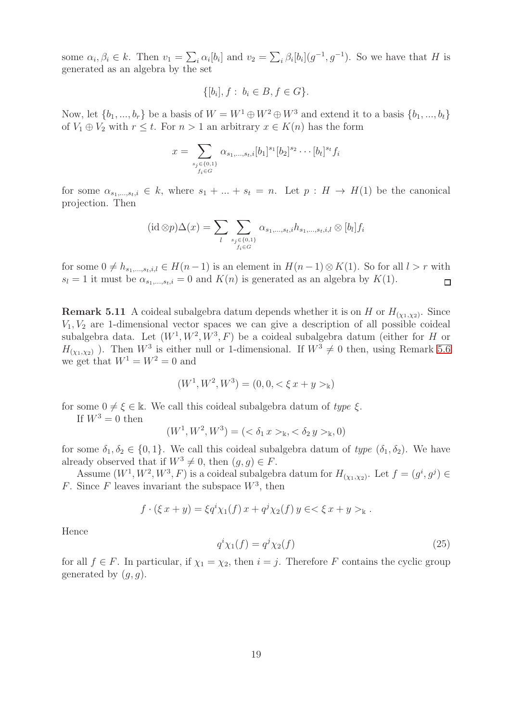some  $\alpha_i, \beta_i \in k$ . Then  $v_1 = \sum_i \alpha_i [b_i]$  and  $v_2 = \sum_i \beta_i [b_i](g^{-1}, g^{-1})$ . So we have that H is generated as an algebra by the set

$$
\{[b_i], f : b_i \in B, f \in G\}.
$$

Now, let  $\{b_1, ..., b_r\}$  be a basis of  $W = W^1 \oplus W^2 \oplus W^3$  and extend it to a basis  $\{b_1, ..., b_t\}$ of  $V_1 \oplus V_2$  with  $r \leq t$ . For  $n > 1$  an arbitrary  $x \in K(n)$  has the form

$$
x = \sum_{\substack{s_j \in \{0,1\} \\ f_i \in G}} \alpha_{s_1,\dots,s_t,i} [b_1]^{s_1} [b_2]^{s_2} \cdots [b_t]^{s_t} f_i
$$

for some  $\alpha_{s_1,\dots,s_t,i} \in k$ , where  $s_1 + \dots + s_t = n$ . Let  $p : H \to H(1)$  be the canonical projection. Then

$$
(\mathrm{id}\otimes p)\Delta(x)=\sum_{l}\sum_{\substack{s_j\in\{0,1\}\\f_i\in G}}\alpha_{s_1,\ldots,s_t,i}h_{s_1,\ldots,s_t,i,l}\otimes[b_l]f_i
$$

for some  $0 \neq h_{s_1,\dots,s_t,i,l} \in H(n-1)$  is an element in  $H(n-1) \otimes K(1)$ . So for all  $l > r$  with  $s_l = 1$  it must be  $\alpha_{s_1,\dots,s_t,i} = 0$  and  $K(n)$  is generated as an algebra by  $K(1)$ .  $\Box$ 

**Remark 5.11** A coideal subalgebra datum depends whether it is on H or  $H_{(\chi_1,\chi_2)}$ . Since  $V_1, V_2$  are 1-dimensional vector spaces we can give a description of all possible coideal subalgebra data. Let  $(W^1, W^2, W^3, F)$  be a coideal subalgebra datum (either for H or  $H_{(\chi_1,\chi_2)}$ ). Then  $W^3$  is either null or 1-dimensional. If  $W^3 \neq 0$  then, using Remark [5.6](#page-16-2) we get that  $W^1 = W^2 = 0$  and

$$
(W^1, W^2, W^3) = (0, 0, <\xi x + y >_{\mathbb{k}})
$$

for some  $0 \neq \xi \in \mathbb{k}$ . We call this coideal subalgebra datum of type  $\xi$ .

If  $W^3 = 0$  then

$$
(W^1, W^2, W^3) = (<\delta_1 x>_{\mathbb{k}}, <\delta_2 y>_{\mathbb{k}}, 0)
$$

for some  $\delta_1, \delta_2 \in \{0, 1\}$ . We call this coideal subalgebra datum of type  $(\delta_1, \delta_2)$ . We have already observed that if  $W^3 \neq 0$ , then  $(g, g) \in F$ .

Assume  $(W^1, W^2, W^3, F)$  is a coideal subalgebra datum for  $H_{(\chi_1, \chi_2)}$ . Let  $f = (g^i, g^j) \in$ F. Since F leaves invariant the subspace  $W^3$ , then

$$
f \cdot (\xi x + y) = \xi q^{i} \chi_1(f) x + q^{j} \chi_2(f) y \in \xi x + y >_{\mathbb{k}}.
$$

Hence

<span id="page-18-0"></span>
$$
q^i \chi_1(f) = q^j \chi_2(f) \tag{25}
$$

for all  $f \in F$ . In particular, if  $\chi_1 = \chi_2$ , then  $i = j$ . Therefore F contains the cyclic group generated by  $(g, g)$ .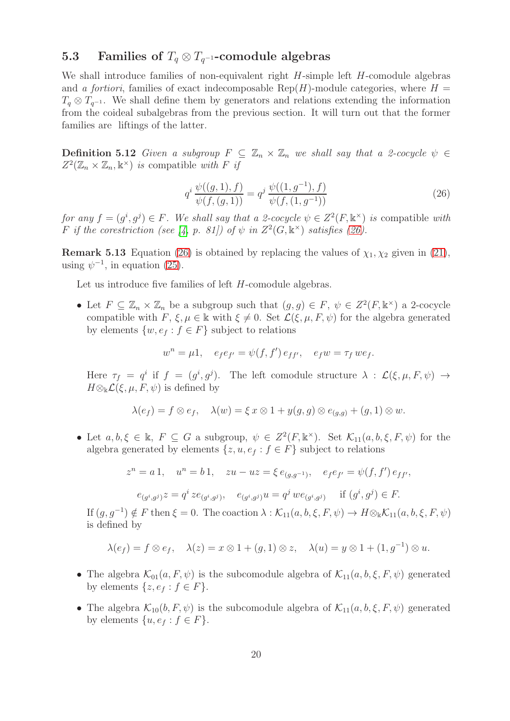### 5.3 Families of  $T_q \otimes T_{q^{-1}}$ -comodule algebras

We shall introduce families of non-equivalent right H-simple left H-comodule algebras and a fortiori, families of exact indecomposable Rep(H)-module categories, where  $H =$  $T_q \otimes T_{q^{-1}}$ . We shall define them by generators and relations extending the information from the coideal subalgebras from the previous section. It will turn out that the former families are liftings of the latter.

**Definition 5.12** Given a subgroup  $F \subseteq \mathbb{Z}_n \times \mathbb{Z}_n$  we shall say that a 2-cocycle  $\psi \in$  $Z^2(\mathbb{Z}_n\times\mathbb{Z}_n,\mathbb{k}^{\times})$  is compatible with F if

<span id="page-19-0"></span>
$$
q^{i} \frac{\psi((g,1),f)}{\psi(f,(g,1))} = q^{j} \frac{\psi((1,g^{-1}),f)}{\psi(f,(1,g^{-1}))}
$$
\n(26)

for any  $f = (g^i, g^j) \in F$ . We shall say that a 2-cocycle  $\psi \in Z^2(F, \mathbb{k}^\times)$  is compatible with F if the corestriction (see [\[4,](#page-24-9) p. 81]) of  $\psi$  in  $Z^2(G, \mathbb{k}^\times)$  satisfies [\(26\)](#page-19-0).

**Remark 5.13** Equation [\(26\)](#page-19-0) is obtained by replacing the values of  $\chi_1, \chi_2$  given in [\(21\)](#page-15-0), using  $\psi^{-1}$ , in equation [\(25\)](#page-18-0).

Let us introduce five families of left H-comodule algebras.

• Let  $F \subseteq \mathbb{Z}_n \times \mathbb{Z}_n$  be a subgroup such that  $(g, g) \in F$ ,  $\psi \in Z^2(F, \mathbb{R}^\times)$  a 2-cocycle compatible with F,  $\xi, \mu \in \mathbb{k}$  with  $\xi \neq 0$ . Set  $\mathcal{L}(\xi, \mu, F, \psi)$  for the algebra generated by elements  $\{w, e_f : f \in F\}$  subject to relations

$$
w^n = \mu 1, \quad e_f e_{f'} = \psi(f, f') e_{ff'}, \quad e_f w = \tau_f w e_f.
$$

Here  $\tau_f = q^i$  if  $f = (g^i, g^j)$ . The left comodule structure  $\lambda : \mathcal{L}(\xi, \mu, F, \psi) \to$  $H \otimes_{\mathbb{k}} \mathcal{L}(\xi, \mu, F, \psi)$  is defined by

$$
\lambda(e_f) = f \otimes e_f, \quad \lambda(w) = \xi x \otimes 1 + y(g, g) \otimes e_{(g,g)} + (g, 1) \otimes w.
$$

• Let  $a, b, \xi \in \mathbb{k}$ ,  $F \subseteq G$  a subgroup,  $\psi \in Z^2(F, \mathbb{k}^\times)$ . Set  $\mathcal{K}_{11}(a, b, \xi, F, \psi)$  for the algebra generated by elements  $\{z, u, e_f : f \in F\}$  subject to relations

$$
z^n = a 1
$$
,  $u^n = b 1$ ,  $zu - uz = \xi e_{(g,g^{-1})}$ ,  $e_f e_{f'} = \psi(f, f') e_{ff'}$ ,  
 $e_{(g,g^{-1})} = \psi(g, g) e_{(g,g^{-1})} e_{(g,g^{-1})} e_{(g,g^{-1})} e_{(g,g^{-1})} e_{(g,g^{-1})} e_{(g,g^{-1})} e_{(g,g^{-1})} e_{(g,g^{-1})} e_{(g,g^{-1})}$ 

$$
e_{(g^i,g^j)}z = q^i z e_{(g^i,g^j)}, \quad e_{(g^i,g^j)}u = q^j w e_{(g^i,g^j)} \quad \text{if } (g^i,g^j) \in F.
$$

If  $(g, g^{-1}) \notin F$  then  $\xi = 0$ . The coaction  $\lambda : \mathcal{K}_{11}(a, b, \xi, F, \psi) \to H \otimes_{\mathbb{k}} \mathcal{K}_{11}(a, b, \xi, F, \psi)$ is defined by

$$
\lambda(e_f) = f \otimes e_f, \quad \lambda(z) = x \otimes 1 + (g, 1) \otimes z, \quad \lambda(u) = y \otimes 1 + (1, g^{-1}) \otimes u.
$$

- The algebra  $\mathcal{K}_{01}(a, F, \psi)$  is the subcomodule algebra of  $\mathcal{K}_{11}(a, b, \xi, F, \psi)$  generated by elements  $\{z, e_f : f \in F\}.$
- The algebra  $\mathcal{K}_{10}(b, F, \psi)$  is the subcomodule algebra of  $\mathcal{K}_{11}(a, b, \xi, F, \psi)$  generated by elements  $\{u, e_f : f \in F\}.$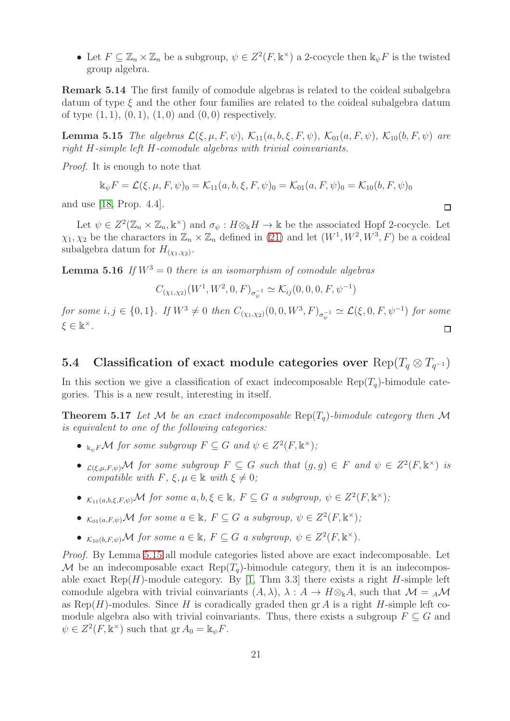• Let  $F \subseteq \mathbb{Z}_n \times \mathbb{Z}_n$  be a subgroup,  $\psi \in Z^2(F, \mathbb{k}^\times)$  a 2-cocycle then  $\mathbb{k}_{\psi} F$  is the twisted group algebra.

Remark 5.14 The first family of comodule algebras is related to the coideal subalgebra datum of type  $\xi$  and the other four families are related to the coideal subalgebra datum of type  $(1, 1), (0, 1), (1, 0)$  and  $(0, 0)$  respectively.

<span id="page-20-1"></span>**Lemma 5.15** The algebras  $\mathcal{L}(\xi, \mu, F, \psi)$ ,  $\mathcal{K}_{11}(a, b, \xi, F, \psi)$ ,  $\mathcal{K}_{01}(a, F, \psi)$ ,  $\mathcal{K}_{10}(b, F, \psi)$  are right H-simple left H-comodule algebras with trivial coinvariants.

Proof. It is enough to note that

$$
\Bbbk_{\psi}F = \mathcal{L}(\xi, \mu, F, \psi)_0 = \mathcal{K}_{11}(a, b, \xi, F, \psi)_0 = \mathcal{K}_{01}(a, F, \psi)_0 = \mathcal{K}_{10}(b, F, \psi)_0
$$

and use [\[18,](#page-25-1) Prop. 4.4].

Let  $\psi \in Z^2(\mathbb{Z}_n \times \mathbb{Z}_n, \mathbb{k}^\times)$  and  $\sigma_{\psi}: H \otimes_{\mathbb{k}} H \to \mathbb{k}$  be the associated Hopf 2-cocycle. Let  $\chi_1, \chi_2$  be the characters in  $\mathbb{Z}_n \times \mathbb{Z}_n$  defined in [\(21\)](#page-15-0) and let  $(W^1, W^2, W^3, F)$  be a coideal subalgebra datum for  $H_{(\chi_1,\chi_2)}$ .

<span id="page-20-2"></span>**Lemma 5.16** If  $W^3 = 0$  there is an isomorphism of comodule algebras

 $C_{(\chi_1,\chi_2)}(W^1,W^2,0,F)_{\sigma_{\psi}^{-1}} \simeq \mathcal{K}_{ij}(0,0,0,F,\psi^{-1})$ 

for some  $i, j \in \{0, 1\}$ . If  $W^3 \neq 0$  then  $C_{(\chi_1, \chi_2)}(0, 0, W^3, F)_{\sigma_{\psi}^{-1}} \simeq \mathcal{L}(\xi, 0, F, \psi^{-1})$  for some  $\xi \in \mathbb{k}^{\times}$ .  $\Box$ 

# 5.4 Classification of exact module categories over  $\text{Rep}(T_q \otimes T_{q^{-1}})$

<span id="page-20-0"></span>In this section we give a classification of exact indecomposable  $\text{Rep}(T_q)$ -bimodule categories. This is a new result, interesting in itself.

**Theorem 5.17** Let M be an exact indecomposable  $\text{Rep}(T_q)$ -bimodule category then M is equivalent to one of the following categories:

- $\iota_{\kappa_{\psi} F} \mathcal{M}$  for some subgroup  $F \subseteq G$  and  $\psi \in Z^2(F, \mathbb{k}^{\times})$ ;
- $\mathcal{L}(\xi,\mu,F,\psi)$ M for some subgroup  $F \subseteq G$  such that  $(g,g) \in F$  and  $\psi \in Z^2(F,\mathbb{k}^\times)$  is compatible with  $F, \xi, \mu \in \mathbb{k}$  with  $\xi \neq 0$ :
- $\kappa_{11(a,b,\xi,F,\psi)}\mathcal{M}$  for some  $a,b,\xi \in \mathbb{k}, F \subseteq G$  a subgroup,  $\psi \in Z^2(F,\mathbb{k}^\times);$
- $\kappa_{01}(a,F,\psi)$ M for some  $a \in \mathbb{k}$ ,  $F \subseteq G$  a subgroup,  $\psi \in Z^2(F,\mathbb{k}^\times);$
- $\kappa_{10}(b,F,\psi)$ M for some  $a \in \mathbb{k}$ ,  $F \subseteq G$  a subgroup,  $\psi \in Z^2(F,\mathbb{k}^\times)$ .

Proof. By Lemma [5.15](#page-20-1) all module categories listed above are exact indecomposable. Let M be an indecomposable exact  $\text{Rep}(T_q)$ -bimodule category, then it is an indecomposable exact  $\text{Rep}(H)$ -module category. By [\[1,](#page-24-4) Thm 3.3] there exists a right H-simple left comodule algebra with trivial coinvariants  $(A, \lambda), \lambda : A \to H \otimes_{\mathbb{k}} A$ , such that  $\mathcal{M} = {}_A\mathcal{M}$ as Rep(H)-modules. Since H is coradically graded then  $\operatorname{gr} A$  is a right H-simple left comodule algebra also with trivial coinvariants. Thus, there exists a subgroup  $F \subseteq G$  and  $\psi \in Z^2(F, \mathbb{k}^\times)$  such that  $\operatorname{gr} A_0 = \mathbb{k}_\psi F$ .

 $\Box$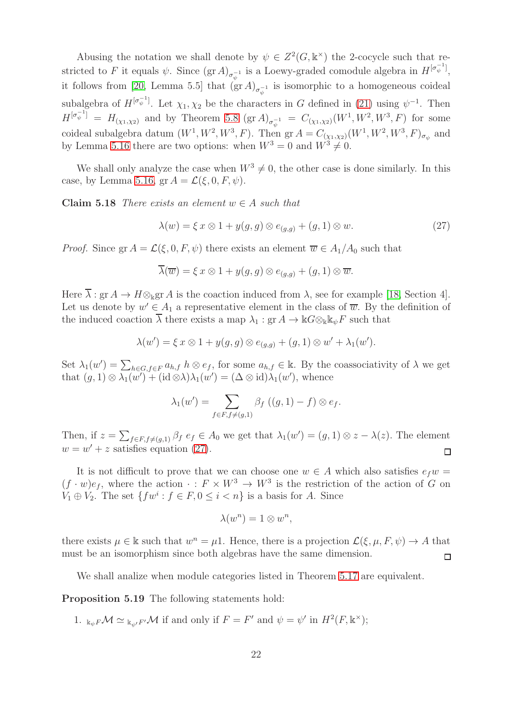Abusing the notation we shall denote by  $\psi \in Z^2(G, \mathbb{k}^\times)$  the 2-cocycle such that restricted to F it equals  $\psi$ . Since  $(\text{gr }A)_{\sigma_{\psi}^{-1}}$  is a Loewy-graded comodule algebra in  $H^{[\sigma_{\psi}^{-1}]}$ , it follows from [\[20,](#page-25-7) Lemma 5.5] that  $(\text{gr }A)_{\sigma_{\psi}^{-1}}$  is isomorphic to a homogeneous coideal subalgebra of  $H^{[\sigma_{\psi}^{-1}]}$ . Let  $\chi_1, \chi_2$  be the characters in G defined in [\(21\)](#page-15-0) using  $\psi^{-1}$ . Then  $H^{[\sigma_{\psi}^{-1}]} = H_{(\chi_1,\chi_2)}$  and by Theorem [5.8](#page-16-3)  $(\text{gr }A)_{\sigma_{\psi}^{-1}} = C_{(\chi_1,\chi_2)}(W^1,W^2,W^3,F)$  for some coideal subalgebra datum  $(W^1, W^2, W^3, F)$ . Then gr  $A = C_{(\chi_1, \chi_2)}(W^1, W^2, W^3, F)_{\sigma_{\psi}}$  and by Lemma [5.16](#page-20-2) there are two options: when  $W^3 = 0$  and  $W^3 \neq 0$ .

We shall only analyze the case when  $W^3 \neq 0$ , the other case is done similarly. In this case, by Lemma [5.16,](#page-20-2)  $\operatorname{gr} A = \mathcal{L}(\xi, 0, F, \psi)$ .

Claim 5.18 There exists an element  $w \in A$  such that

<span id="page-21-0"></span>
$$
\lambda(w) = \xi x \otimes 1 + y(g, g) \otimes e_{(g,g)} + (g, 1) \otimes w. \tag{27}
$$

*Proof.* Since  $gr A = \mathcal{L}(\xi, 0, F, \psi)$  there exists an element  $\overline{w} \in A_1/A_0$  such that

$$
\overline{\lambda}(\overline{w}) = \xi x \otimes 1 + y(g, g) \otimes e_{(g,g)} + (g, 1) \otimes \overline{w}.
$$

Here  $\overline{\lambda}$  : gr  $A \to H \otimes_{\mathbb{k}}$ gr A is the coaction induced from  $\lambda$ , see for example [\[18,](#page-25-1) Section 4]. Let us denote by  $w' \in A_1$  a representative element in the class of  $\overline{w}$ . By the definition of the induced coaction  $\overline{\lambda}$  there exists a map  $\lambda_1 : \text{gr } A \to \Bbbk G \otimes_{\Bbbk} \Bbbk_{\psi} F$  such that

$$
\lambda(w') = \xi x \otimes 1 + y(g, g) \otimes e_{(g,g)} + (g, 1) \otimes w' + \lambda_1(w').
$$

Set  $\lambda_1(w') = \sum_{h \in G, f \in F} a_{h,f} h \otimes e_f$ , for some  $a_{h,f} \in \mathbb{k}$ . By the coassociativity of  $\lambda$  we get that  $(g, 1) \otimes \lambda_1(w') + (\mathrm{id} \otimes \lambda)\lambda_1(w') = (\Delta \otimes \mathrm{id})\lambda_1(w')$ , whence

$$
\lambda_1(w') = \sum_{f \in F, f \neq (g,1)} \beta_f ((g,1) - f) \otimes e_f.
$$

Then, if  $z = \sum_{f \in F, f \neq (g,1)} \beta_f e_f \in A_0$  we get that  $\lambda_1(w') = (g,1) \otimes z - \lambda(z)$ . The element  $w = w' + z$  satisfies equation [\(27\)](#page-21-0).  $\Box$ 

It is not difficult to prove that we can choose one  $w \in A$  which also satisfies  $e_f w =$  $(f \cdot w)e_f$ , where the action  $\cdot : F \times W^3 \to W^3$  is the restriction of the action of G on  $V_1 \oplus V_2$ . The set  $\{ fw^i : f \in F, 0 \le i < n \}$  is a basis for A. Since

$$
\lambda(w^n) = 1 \otimes w^n,
$$

there exists  $\mu \in \mathbb{k}$  such that  $w^n = \mu$ 1. Hence, there is a projection  $\mathcal{L}(\xi, \mu, F, \psi) \to A$  that must be an isomorphism since both algebras have the same dimension.  $\Box$ 

<span id="page-21-1"></span>We shall analize when module categories listed in Theorem [5.17](#page-20-0) are equivalent.

Proposition 5.19 The following statements hold:

1.  $_{\mathbb{k}_{\psi}F}\mathcal{M} \simeq {}_{\mathbb{k}_{\psi'}F'}\mathcal{M}$  if and only if  $F = F'$  and  $\psi = \psi'$  in  $H^2(F, \mathbb{k}^\times);$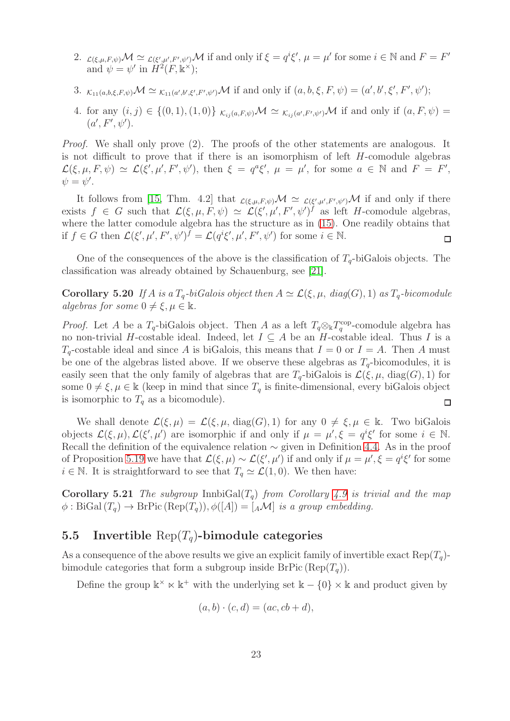- 2.  $\mathcal{L}(\xi,\mu,F,\psi) \mathcal{M} \simeq \mathcal{L}(\xi',\mu',F',\psi') \mathcal{M}$  if and only if  $\xi = q^i \xi', \mu = \mu'$  for some  $i \in \mathbb{N}$  and  $F = F'$ and  $\psi = \psi'$  in  $\ddot{H}^2(F, \mathbb{k}^\times);$
- 3.  $\kappa_{11}(a,b,\xi,F,\psi)$   $\mathcal{M} \simeq \kappa_{11}(a',b',\xi',F',\psi')$   $\mathcal{M}$  if and only if  $(a,b,\xi,F,\psi) = (a',b',\xi',F',\psi')$ ;
- 4. for any  $(i, j) \in \{(0, 1), (1, 0)\}$   $\mathcal{K}_{ij}(a, F, \psi) \mathcal{M} \simeq \mathcal{K}_{ij}(a', F', \psi') \mathcal{M}$  if and only if  $(a, F, \psi) =$  $(a', F', \psi').$

Proof. We shall only prove (2). The proofs of the other statements are analogous. It is not difficult to prove that if there is an isomorphism of left H-comodule algebras  $\mathcal{L}(\xi,\mu,F,\psi) \simeq \mathcal{L}(\xi',\mu',F',\psi'),$  then  $\xi = q^a \xi', \mu = \mu'$ , for some  $a \in \mathbb{N}$  and  $F = F',$  $\psi = \psi'.$ 

It follows from [\[15,](#page-25-3) Thm. 4.2] that  $\mathcal{L}(\xi,\mu,F,\psi) \mathcal{M} \simeq \mathcal{L}(\xi',\mu',F',\psi') \mathcal{M}$  if and only if there exists  $f \in G$  such that  $\mathcal{L}(\xi,\mu,F,\psi) \simeq \mathcal{L}(\xi',\mu',F',\psi')^f$  as left H-comodule algebras, where the latter comodule algebra has the structure as in [\(15\)](#page-10-1). One readily obtains that if  $f \in G$  then  $\mathcal{L}(\xi', \mu', F', \psi')^{\bar{f}} = \mathcal{L}(q^i \xi', \mu', F', \psi')$  for some  $i \in \mathbb{N}$ .  $\Box$ 

One of the consequences of the above is the classification of  $T_q$ -biGalois objects. The classification was already obtained by Schauenburg, see [\[21\]](#page-25-8).

Corollary 5.20 If A is a  $T_q$ -biGalois object then  $A \simeq \mathcal{L}(\xi, \mu, diag(G), 1)$  as  $T_q$ -bicomodule algebras for some  $0 \neq \xi, \mu \in \mathbb{k}$ .

*Proof.* Let A be a  $T_q$ -biGalois object. Then A as a left  $T_q \otimes_k T_q^{\text{cop}}$ -comodule algebra has no non-trivial H-costable ideal. Indeed, let  $I \subseteq A$  be an H-costable ideal. Thus I is a  $T_q$ -costable ideal and since A is biGalois, this means that  $I = 0$  or  $I = A$ . Then A must be one of the algebras listed above. If we observe these algebras as  $T_q$ -bicomodules, it is easily seen that the only family of algebras that are  $T_q$ -biGalois is  $\mathcal{L}(\xi, \mu, \text{diag}(G), 1)$  for some  $0 \neq \xi, \mu \in \mathbb{k}$  (keep in mind that since  $T_q$  is finite-dimensional, every biGalois object is isomorphic to  $T_q$  as a bicomodule).  $\Box$ 

We shall denote  $\mathcal{L}(\xi,\mu) = \mathcal{L}(\xi,\mu,\text{diag}(G),1)$  for any  $0 \neq \xi,\mu \in \mathbb{k}$ . Two biGalois objects  $\mathcal{L}(\xi, \mu), \mathcal{L}(\xi', \mu')$  are isomorphic if and only if  $\mu = \mu', \xi = q^{i}\xi'$  for some  $i \in \mathbb{N}$ . Recall the definition of the equivalence relation ∼ given in Definition [4.4.](#page-11-1) As in the proof of Proposition [5.19](#page-21-1) we have that  $\mathcal{L}(\xi,\mu) \sim \mathcal{L}(\xi',\mu')$  if and only if  $\mu = \mu', \xi = q^i \xi'$  for some *i* ∈ N. It is straightforward to see that  $T_q \simeq \mathcal{L}(1, 0)$ . We then have:

**Corollary 5.21** The subgroup InnbiGal( $T_q$ ) from Corollary [4.9](#page-13-0) is trivial and the map  $\phi : \text{BiGal}(T_q) \to \text{BrPic}(\text{Rep}(T_q)), \phi([A]) = [{}_A\mathcal{M}]$  is a group embedding.

## 5.5 Invertible  $\text{Rep}(T_a)$ -bimodule categories

As a consequence of the above results we give an explicit family of invertible exact  $\text{Rep}(T_q)$ bimodule categories that form a subgroup inside  $BrPic(Rep(T_a))$ .

Define the group  $\mathbb{k}^{\times} \ltimes \mathbb{k}^+$  with the underlying set  $\mathbb{k} - \{0\} \times \mathbb{k}$  and product given by

$$
(a,b)\cdot (c,d)=(ac,cb+d),
$$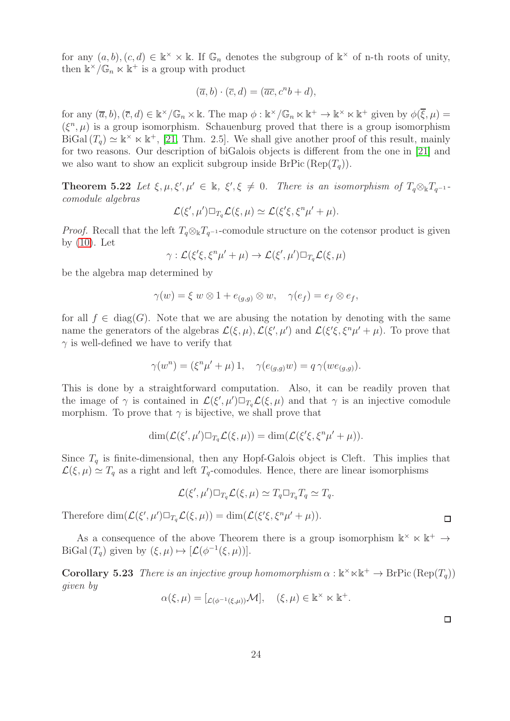for any  $(a, b), (c, d) \in \mathbb{R}^{\times} \times \mathbb{R}$ . If  $\mathbb{G}_n$  denotes the subgroup of  $\mathbb{R}^{\times}$  of n-th roots of unity, then  $\mathbb{k}^{\times}/\mathbb{G}_n \ltimes \mathbb{k}^+$  is a group with product

$$
(\overline{a}, b) \cdot (\overline{c}, d) = (\overline{ac}, c^n b + d),
$$

for any  $(\overline{a}, b), (\overline{c}, d) \in \mathbb{k}^\times/\mathbb{G}_n \times \mathbb{k}$ . The map  $\phi : \mathbb{k}^\times/\mathbb{G}_n \times \mathbb{k}^+ \to \mathbb{k}^\times \times \mathbb{k}^+$  given by  $\phi(\overline{\xi}, \mu) =$  $(\xi^n, \mu)$  is a group isomorphism. Schauenburg proved that there is a group isomorphism  $BiGal(T_q) \simeq \mathbb{k}^{\times} \times \mathbb{k}^+,$  [\[21,](#page-25-8) Thm. 2.5]. We shall give another proof of this result, mainly for two reasons. Our description of biGalois objects is different from the one in [\[21\]](#page-25-8) and we also want to show an explicit subgroup inside BrPic  $(\text{Rep}(T_q))$ .

**Theorem 5.22** Let  $\xi, \mu, \xi', \mu' \in \mathbb{k}$ ,  $\xi', \xi \neq 0$ . There is an isomorphism of  $T_q \otimes_{\mathbb{k}} T_{q^{-1}}$ comodule algebras

$$
\mathcal{L}(\xi',\mu')\Box_{T_q}\mathcal{L}(\xi,\mu)\simeq\mathcal{L}(\xi'\xi,\xi^n\mu'+\mu).
$$

*Proof.* Recall that the left  $T_q \otimes_k T_{q^{-1}}$ -comodule structure on the cotensor product is given by  $(10)$ . Let

$$
\gamma : \mathcal{L}(\xi'\xi, \xi^n \mu' + \mu) \to \mathcal{L}(\xi', \mu') \square_{T_q} \mathcal{L}(\xi, \mu)
$$

be the algebra map determined by

$$
\gamma(w) = \xi \ w \otimes 1 + e_{(g,g)} \otimes w, \quad \gamma(e_f) = e_f \otimes e_f,
$$

for all  $f \in diag(G)$ . Note that we are abusing the notation by denoting with the same name the generators of the algebras  $\mathcal{L}(\xi,\mu), \mathcal{L}(\xi',\mu')$  and  $\mathcal{L}(\xi'\xi,\xi^n\mu'+\mu)$ . To prove that  $\gamma$  is well-defined we have to verify that

$$
\gamma(w^n) = (\xi^n \mu' + \mu) \, 1, \quad \gamma(e_{(g,g)}w) = q \, \gamma(we_{(g,g)}).
$$

This is done by a straightforward computation. Also, it can be readily proven that the image of  $\gamma$  is contained in  $\mathcal{L}(\xi',\mu')\Box_{T_q}\mathcal{L}(\xi,\mu)$  and that  $\gamma$  is an injective comodule morphism. To prove that  $\gamma$  is bijective, we shall prove that

$$
\dim(\mathcal{L}(\xi',\mu')\Box_{T_q}\mathcal{L}(\xi,\mu)) = \dim(\mathcal{L}(\xi'\xi,\xi^n\mu'+\mu)).
$$

Since  $T_q$  is finite-dimensional, then any Hopf-Galois object is Cleft. This implies that  $\mathcal{L}(\xi,\mu) \simeq T_q$  as a right and left  $T_q$ -comodules. Hence, there are linear isomorphisms

$$
\mathcal{L}(\xi',\mu')\Box_{T_q}\mathcal{L}(\xi,\mu)\simeq T_q\Box_{T_q}T_q\simeq T_q.
$$

Therefore  $\dim(\mathcal{L}(\xi',\mu')\Box_{T_q}\mathcal{L}(\xi,\mu)) = \dim(\mathcal{L}(\xi'\xi,\xi^n\mu'+\mu)).$ 

As a consequence of the above Theorem there is a group isomorphism  $\mathbb{k}^{\times} \ltimes \mathbb{k}^+ \to$  $\text{BiGal}(T_q)$  given by  $(\xi, \mu) \mapsto [\mathcal{L}(\phi^{-1}(\xi, \mu))].$ 

**Corollary 5.23** There is an injective group homomorphism  $\alpha : \mathbb{k}^{\times} \times \mathbb{k}^+ \to \text{BrPic}(\text{Rep}(T_q))$ given by

$$
\alpha(\xi,\mu) = [\mathcal{L}(\phi^{-1}(\xi,\mu))\mathcal{M}], \quad (\xi,\mu) \in \mathbb{k}^\times \ltimes \mathbb{k}^+.
$$

 $\Box$ 

 $\Box$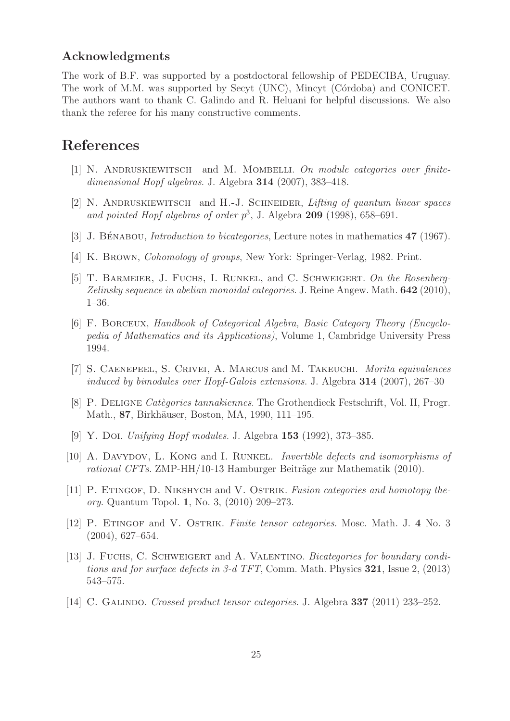#### Acknowledgments

The work of B.F. was supported by a postdoctoral fellowship of PEDECIBA, Uruguay. The work of M.M. was supported by Secyt (UNC), Mincyt (Córdoba) and CONICET. The authors want to thank C. Galindo and R. Heluani for helpful discussions. We also thank the referee for his many constructive comments.

# <span id="page-24-4"></span>References

- <span id="page-24-8"></span>[1] N. Andruskiewitsch and M. Mombelli. On module categories over finitedimensional Hopf algebras. J. Algebra 314 (2007), 383–418.
- <span id="page-24-5"></span>[2] N. ANDRUSKIEWITSCH and H.-J. SCHNEIDER, *Lifting of quantum linear spaces* and pointed Hopf algebras of order  $p^3$ , J. Algebra 209 (1998), 658–691.
- <span id="page-24-9"></span>[3] J. B $\acute{E}NABOU$ , *Introduction to bicategories*, Lecture notes in mathematics 47 (1967).
- <span id="page-24-7"></span>[4] K. BROWN, *Cohomology of groups*, New York: Springer-Verlag, 1982. Print.
- [5] T. BARMEIER, J. FUCHS, I. RUNKEL, and C. SCHWEIGERT. On the Rosenberg-Zelinsky sequence in abelian monoidal categories. J. Reine Angew. Math. **642** (2010), 1–36.
- <span id="page-24-6"></span>[6] F. Borceux, Handbook of Categorical Algebra, Basic Category Theory (Encyclopedia of Mathematics and its Applications), Volume 1, Cambridge University Press 1994.
- <span id="page-24-1"></span>[7] S. Caenepeel, S. Crivei, A. Marcus and M. Takeuchi. Morita equivalences induced by bimodules over Hopf-Galois extensions. J. Algebra 314 (2007), 267–30
- [8] P. DELIGNE Catègories tannakiennes. The Grothendieck Festschrift, Vol. II, Progr. Math., **87**, Birkhäuser, Boston, MA, 1990, 111–195.
- [9] Y. Doi. Unifying Hopf modules. J. Algebra 153 (1992), 373–385.
- [10] A. DAVYDOV, L. KONG and I. RUNKEL. *Invertible defects and isomorphisms of* rational CFTs. ZMP-HH/10-13 Hamburger Beiträge zur Mathematik (2010).
- <span id="page-24-0"></span>[11] P. ETINGOF, D. NIKSHYCH and V. OSTRIK. Fusion categories and homotopy theory. Quantum Topol. 1, No. 3, (2010) 209–273.
- <span id="page-24-2"></span>[12] P. ETINGOF and V. OSTRIK. Finite tensor categories. Mosc. Math. J. 4 No. 3 (2004), 627–654.
- [13] J. FUCHS, C. SCHWEIGERT and A. VALENTINO. Bicategories for boundary conditions and for surface defects in 3-d TFT, Comm. Math. Physics 321, Issue 2, (2013) 543–575.
- <span id="page-24-3"></span>[14] C. GALINDO. Crossed product tensor categories. J. Algebra  $337$  (2011) 233–252.